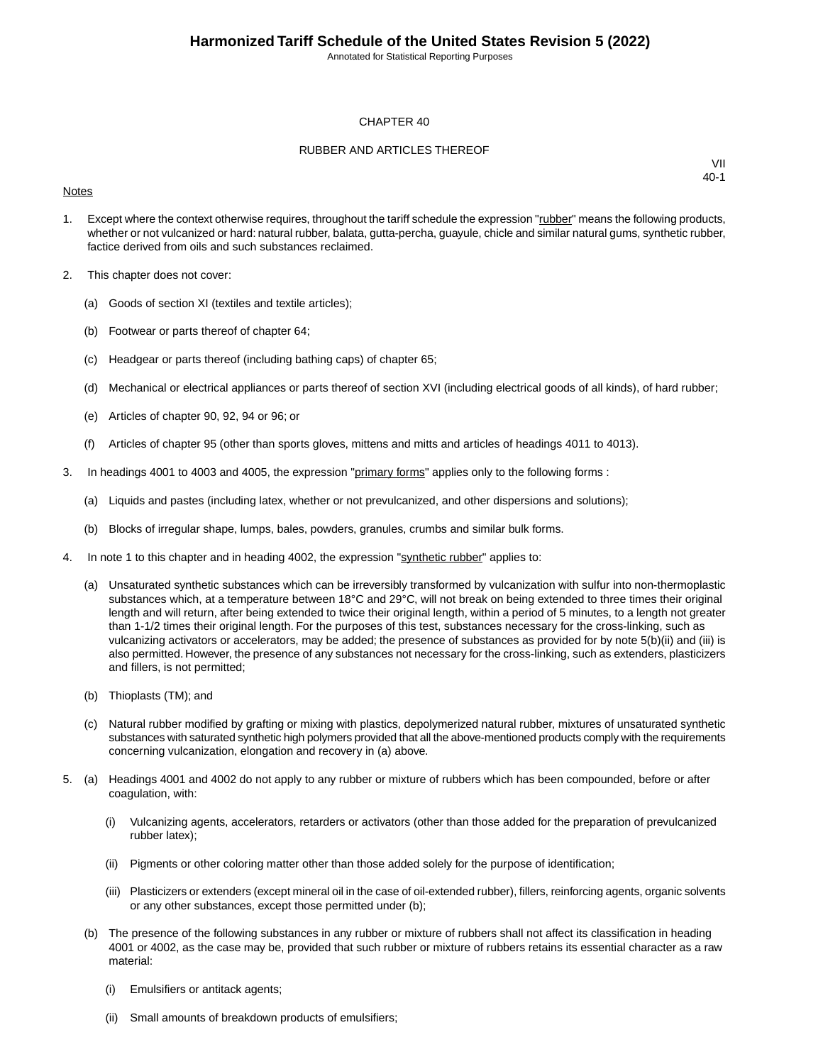Annotated for Statistical Reporting Purposes

#### CHAPTER 40

#### RUBBER AND ARTICLES THEREOF

#### **Notes**

- 1. Except where the context otherwise requires, throughout the tariff schedule the expression "rubber" means the following products, whether or not vulcanized or hard: natural rubber, balata, gutta-percha, guayule, chicle and similar natural gums, synthetic rubber, factice derived from oils and such substances reclaimed.
- 2. This chapter does not cover:
	- (a) Goods of section XI (textiles and textile articles);
	- (b) Footwear or parts thereof of chapter 64;
	- (c) Headgear or parts thereof (including bathing caps) of chapter 65;
	- (d) Mechanical or electrical appliances or parts thereof of section XVI (including electrical goods of all kinds), of hard rubber;
	- (e) Articles of chapter 90, 92, 94 or 96; or
	- (f) Articles of chapter 95 (other than sports gloves, mittens and mitts and articles of headings 4011 to 4013).
- 3. In headings 4001 to 4003 and 4005, the expression "primary forms" applies only to the following forms :
	- (a) Liquids and pastes (including latex, whether or not prevulcanized, and other dispersions and solutions);
	- (b) Blocks of irregular shape, lumps, bales, powders, granules, crumbs and similar bulk forms.
- 4. In note 1 to this chapter and in heading 4002, the expression "synthetic rubber" applies to:
	- (a) Unsaturated synthetic substances which can be irreversibly transformed by vulcanization with sulfur into non-thermoplastic substances which, at a temperature between 18°C and 29°C, will not break on being extended to three times their original length and will return, after being extended to twice their original length, within a period of 5 minutes, to a length not greater than 1-1/2 times their original length. For the purposes of this test, substances necessary for the cross-linking, such as vulcanizing activators or accelerators, may be added; the presence of substances as provided for by note 5(b)(ii) and (iii) is also permitted. However, the presence of any substances not necessary for the cross-linking, such as extenders, plasticizers and fillers, is not permitted;
	- (b) Thioplasts (TM); and
	- (c) Natural rubber modified by grafting or mixing with plastics, depolymerized natural rubber, mixtures of unsaturated synthetic substances with saturated synthetic high polymers provided that all the above-mentioned products comply with the requirements concerning vulcanization, elongation and recovery in (a) above.
- 5. (a) Headings 4001 and 4002 do not apply to any rubber or mixture of rubbers which has been compounded, before or after coagulation, with:
	- (i) Vulcanizing agents, accelerators, retarders or activators (other than those added for the preparation of prevulcanized rubber latex);
	- (ii) Pigments or other coloring matter other than those added solely for the purpose of identification;
	- (iii) Plasticizers or extenders (except mineral oil in the case of oil-extended rubber), fillers, reinforcing agents, organic solvents or any other substances, except those permitted under (b);
	- (b) The presence of the following substances in any rubber or mixture of rubbers shall not affect its classification in heading 4001 or 4002, as the case may be, provided that such rubber or mixture of rubbers retains its essential character as a raw material:
		- (i) Emulsifiers or antitack agents;
		- (ii) Small amounts of breakdown products of emulsifiers;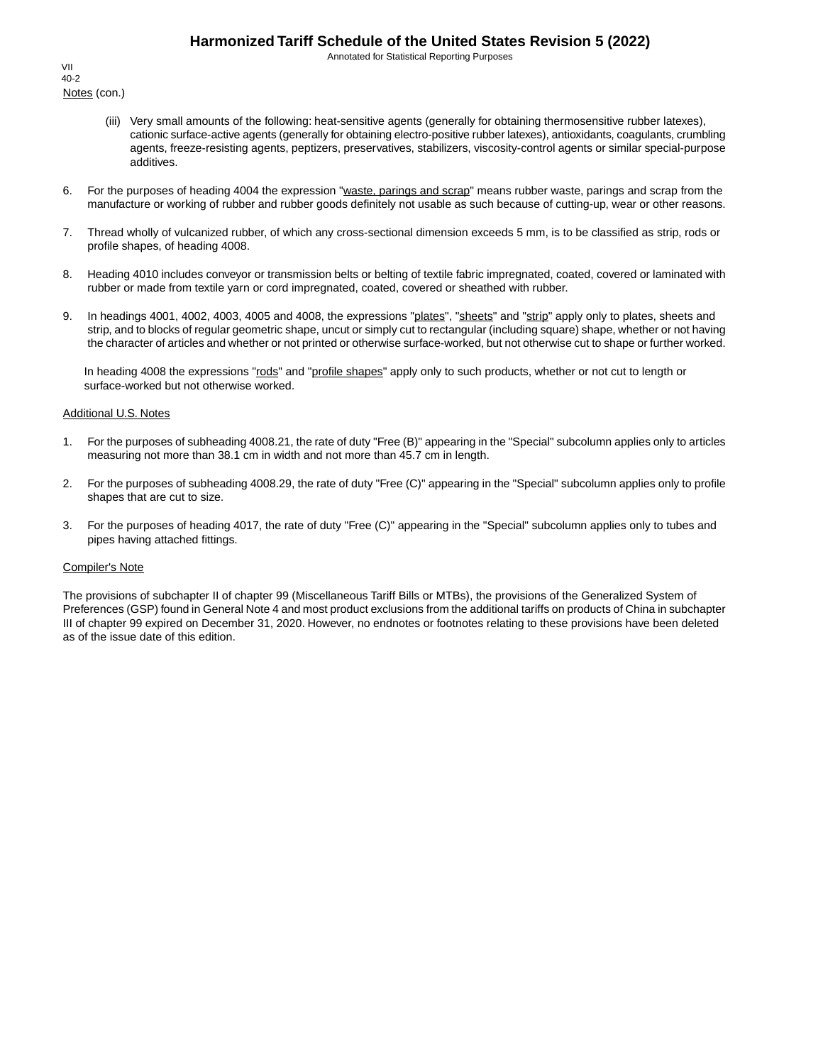Annotated for Statistical Reporting Purposes

Notes (con.) VII 40-2

- (iii) Very small amounts of the following: heat-sensitive agents (generally for obtaining thermosensitive rubber latexes), cationic surface-active agents (generally for obtaining electro-positive rubber latexes), antioxidants, coagulants, crumbling agents, freeze-resisting agents, peptizers, preservatives, stabilizers, viscosity-control agents or similar special-purpose additives.
- 6. For the purposes of heading 4004 the expression "waste, parings and scrap" means rubber waste, parings and scrap from the manufacture or working of rubber and rubber goods definitely not usable as such because of cutting-up, wear or other reasons.
- 7. Thread wholly of vulcanized rubber, of which any cross-sectional dimension exceeds 5 mm, is to be classified as strip, rods or profile shapes, of heading 4008.
- 8. Heading 4010 includes conveyor or transmission belts or belting of textile fabric impregnated, coated, covered or laminated with rubber or made from textile yarn or cord impregnated, coated, covered or sheathed with rubber.
- 9. In headings 4001, 4002, 4003, 4005 and 4008, the expressions "plates", "sheets" and "strip" apply only to plates, sheets and strip, and to blocks of regular geometric shape, uncut or simply cut to rectangular (including square) shape, whether or not having the character of articles and whether or not printed or otherwise surface-worked, but not otherwise cut to shape or further worked.

In heading 4008 the expressions "rods" and "profile shapes" apply only to such products, whether or not cut to length or surface-worked but not otherwise worked.

#### Additional U.S. Notes

- 1. For the purposes of subheading 4008.21, the rate of duty "Free (B)" appearing in the "Special" subcolumn applies only to articles measuring not more than 38.1 cm in width and not more than 45.7 cm in length.
- 2. For the purposes of subheading 4008.29, the rate of duty "Free (C)" appearing in the "Special" subcolumn applies only to profile shapes that are cut to size.
- 3. For the purposes of heading 4017, the rate of duty "Free (C)" appearing in the "Special" subcolumn applies only to tubes and pipes having attached fittings.

#### Compiler's Note

The provisions of subchapter II of chapter 99 (Miscellaneous Tariff Bills or MTBs), the provisions of the Generalized System of Preferences (GSP) found in General Note 4 and most product exclusions from the additional tariffs on products of China in subchapter III of chapter 99 expired on December 31, 2020. However, no endnotes or footnotes relating to these provisions have been deleted as of the issue date of this edition.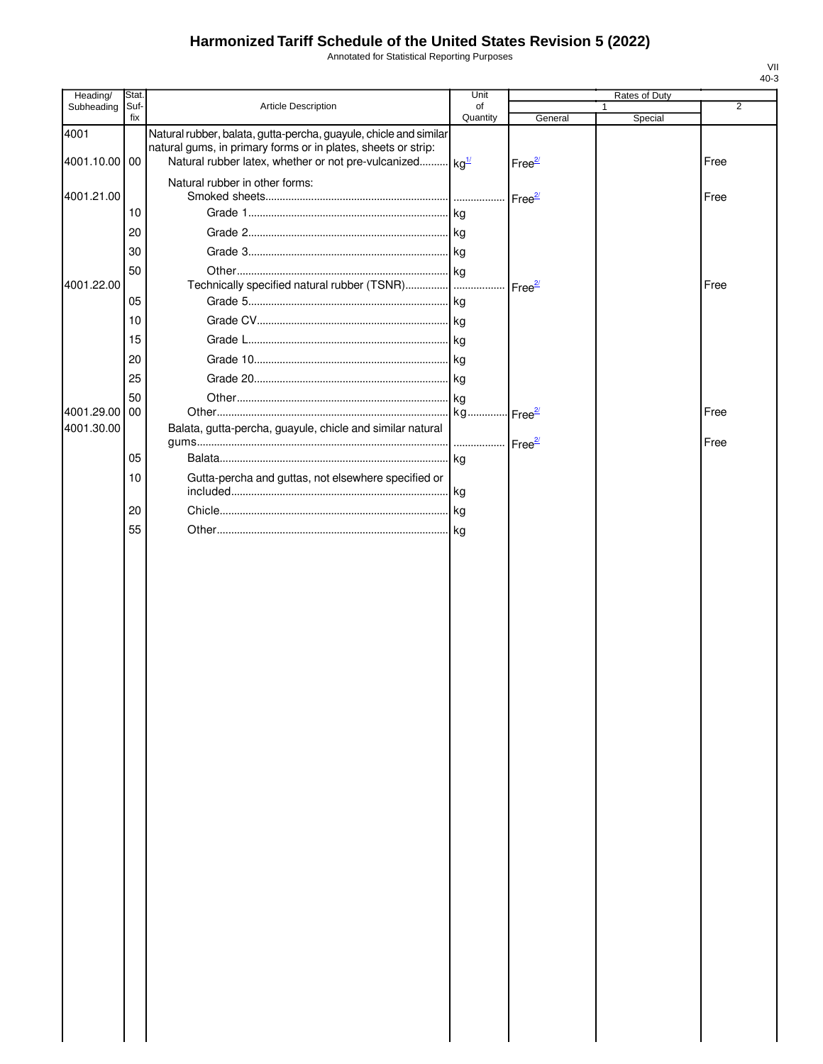Annotated for Statistical Reporting Purposes

| Stat.      |                                                                                               | Unit                                                                       |                                                                                                                                                             |                                                                                                   |   |                          |
|------------|-----------------------------------------------------------------------------------------------|----------------------------------------------------------------------------|-------------------------------------------------------------------------------------------------------------------------------------------------------------|---------------------------------------------------------------------------------------------------|---|--------------------------|
| fix        |                                                                                               |                                                                            |                                                                                                                                                             |                                                                                                   |   | 2                        |
|            | natural gums, in primary forms or in plates, sheets or strip:                                 |                                                                            | Free <sup>2/</sup>                                                                                                                                          |                                                                                                   |   | Free                     |
|            | Natural rubber in other forms:                                                                |                                                                            |                                                                                                                                                             |                                                                                                   |   | Free                     |
|            |                                                                                               |                                                                            |                                                                                                                                                             |                                                                                                   |   |                          |
|            |                                                                                               |                                                                            |                                                                                                                                                             |                                                                                                   |   |                          |
|            |                                                                                               |                                                                            |                                                                                                                                                             |                                                                                                   |   |                          |
|            |                                                                                               |                                                                            |                                                                                                                                                             |                                                                                                   |   |                          |
|            |                                                                                               |                                                                            |                                                                                                                                                             |                                                                                                   |   | Free                     |
| 10         |                                                                                               |                                                                            |                                                                                                                                                             |                                                                                                   |   |                          |
|            |                                                                                               |                                                                            |                                                                                                                                                             |                                                                                                   |   |                          |
| 20         |                                                                                               |                                                                            |                                                                                                                                                             |                                                                                                   |   |                          |
|            |                                                                                               |                                                                            |                                                                                                                                                             |                                                                                                   |   |                          |
| 50         |                                                                                               |                                                                            |                                                                                                                                                             |                                                                                                   |   |                          |
|            |                                                                                               |                                                                            |                                                                                                                                                             |                                                                                                   |   | Free                     |
|            | Balata, gutta-percha, guayule, chicle and similar natural                                     |                                                                            |                                                                                                                                                             |                                                                                                   |   | Free                     |
|            |                                                                                               |                                                                            |                                                                                                                                                             |                                                                                                   |   |                          |
|            |                                                                                               |                                                                            |                                                                                                                                                             |                                                                                                   |   |                          |
|            |                                                                                               |                                                                            |                                                                                                                                                             |                                                                                                   |   |                          |
|            |                                                                                               |                                                                            |                                                                                                                                                             |                                                                                                   |   |                          |
|            |                                                                                               |                                                                            |                                                                                                                                                             |                                                                                                   |   |                          |
| 4001.29.00 | Suf-<br>4001.10.00 00<br>10<br>20<br>30<br>50<br>05<br>15<br>25<br>00<br>05<br>10<br>20<br>55 | Article Description<br>Gutta-percha and guttas, not elsewhere specified or | of<br>Quantity<br>Natural rubber, balata, gutta-percha, guayule, chicle and similar<br>Natural rubber latex, whether or not pre-vulcanized kg <sup>1/</sup> | General<br>Free <sup>2/</sup><br>Technically specified natural rubber (TSNR)   Free <sup>2/</sup> | 1 | Rates of Duty<br>Special |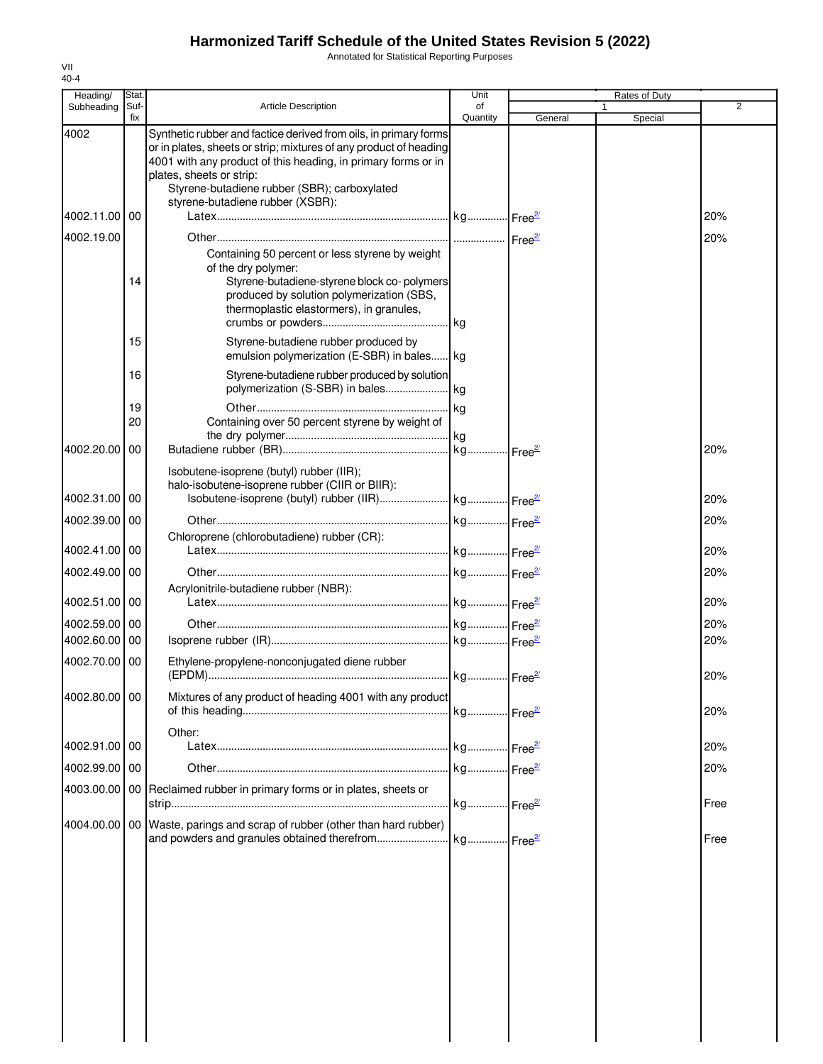Annotated for Statistical Reporting Purposes

| Suf-<br>Subheading<br><b>Article Description</b><br>fix<br>4002<br>Synthetic rubber and factice derived from oils, in primary forms<br>or in plates, sheets or strip; mixtures of any product of heading<br>4001 with any product of this heading, in primary forms or in<br>plates, sheets or strip:<br>Styrene-butadiene rubber (SBR); carboxylated<br>styrene-butadiene rubber (XSBR):<br>4002.11.00 00<br>4002.19.00<br>of the dry polymer:<br>14<br>15<br>16<br>19<br>20<br>4002.20.00<br>00<br>Isobutene-isoprene (butyl) rubber (IIR);<br>halo-isobutene-isoprene rubber (CIIR or BIIR):<br>4002.31.00 00<br>4002.39.00<br>00<br>Chloroprene (chlorobutadiene) rubber (CR):<br>4002.41.00 00<br>4002.49.00<br>00<br>Acrylonitrile-butadiene rubber (NBR):<br>4002.51.00 00<br>4002.59.00<br>00<br>4002.60.00<br>00<br>Ethylene-propylene-nonconjugated diene rubber<br>4002.70.00 00<br>$Free^{2}$<br>Mixtures of any product of heading 4001 with any product<br>4002.80.00 00<br>Other: | Containing 50 percent or less styrene by weight<br>Styrene-butadiene-styrene block co-polymers<br>produced by solution polymerization (SBS,<br>thermoplastic elastormers), in granules,<br>Styrene-butadiene rubber produced by<br>emulsion polymerization (E-SBR) in bales kg<br>Styrene-butadiene rubber produced by solution<br>Containing over 50 percent styrene by weight of | of<br>Quantity<br>. kg | General | Special | $\overline{2}$<br>20%<br>20%<br>20% |
|--------------------------------------------------------------------------------------------------------------------------------------------------------------------------------------------------------------------------------------------------------------------------------------------------------------------------------------------------------------------------------------------------------------------------------------------------------------------------------------------------------------------------------------------------------------------------------------------------------------------------------------------------------------------------------------------------------------------------------------------------------------------------------------------------------------------------------------------------------------------------------------------------------------------------------------------------------------------------------------------------|------------------------------------------------------------------------------------------------------------------------------------------------------------------------------------------------------------------------------------------------------------------------------------------------------------------------------------------------------------------------------------|------------------------|---------|---------|-------------------------------------|
|                                                                                                                                                                                                                                                                                                                                                                                                                                                                                                                                                                                                                                                                                                                                                                                                                                                                                                                                                                                                  |                                                                                                                                                                                                                                                                                                                                                                                    |                        |         |         |                                     |
|                                                                                                                                                                                                                                                                                                                                                                                                                                                                                                                                                                                                                                                                                                                                                                                                                                                                                                                                                                                                  |                                                                                                                                                                                                                                                                                                                                                                                    |                        |         |         |                                     |
|                                                                                                                                                                                                                                                                                                                                                                                                                                                                                                                                                                                                                                                                                                                                                                                                                                                                                                                                                                                                  |                                                                                                                                                                                                                                                                                                                                                                                    |                        |         |         |                                     |
|                                                                                                                                                                                                                                                                                                                                                                                                                                                                                                                                                                                                                                                                                                                                                                                                                                                                                                                                                                                                  |                                                                                                                                                                                                                                                                                                                                                                                    |                        |         |         |                                     |
|                                                                                                                                                                                                                                                                                                                                                                                                                                                                                                                                                                                                                                                                                                                                                                                                                                                                                                                                                                                                  |                                                                                                                                                                                                                                                                                                                                                                                    |                        |         |         |                                     |
|                                                                                                                                                                                                                                                                                                                                                                                                                                                                                                                                                                                                                                                                                                                                                                                                                                                                                                                                                                                                  |                                                                                                                                                                                                                                                                                                                                                                                    |                        |         |         |                                     |
|                                                                                                                                                                                                                                                                                                                                                                                                                                                                                                                                                                                                                                                                                                                                                                                                                                                                                                                                                                                                  |                                                                                                                                                                                                                                                                                                                                                                                    |                        |         |         |                                     |
|                                                                                                                                                                                                                                                                                                                                                                                                                                                                                                                                                                                                                                                                                                                                                                                                                                                                                                                                                                                                  |                                                                                                                                                                                                                                                                                                                                                                                    |                        |         |         |                                     |
|                                                                                                                                                                                                                                                                                                                                                                                                                                                                                                                                                                                                                                                                                                                                                                                                                                                                                                                                                                                                  |                                                                                                                                                                                                                                                                                                                                                                                    |                        |         |         |                                     |
|                                                                                                                                                                                                                                                                                                                                                                                                                                                                                                                                                                                                                                                                                                                                                                                                                                                                                                                                                                                                  |                                                                                                                                                                                                                                                                                                                                                                                    |                        |         |         | 20%                                 |
|                                                                                                                                                                                                                                                                                                                                                                                                                                                                                                                                                                                                                                                                                                                                                                                                                                                                                                                                                                                                  |                                                                                                                                                                                                                                                                                                                                                                                    |                        |         |         | 20%                                 |
|                                                                                                                                                                                                                                                                                                                                                                                                                                                                                                                                                                                                                                                                                                                                                                                                                                                                                                                                                                                                  |                                                                                                                                                                                                                                                                                                                                                                                    |                        |         |         | 20%                                 |
|                                                                                                                                                                                                                                                                                                                                                                                                                                                                                                                                                                                                                                                                                                                                                                                                                                                                                                                                                                                                  |                                                                                                                                                                                                                                                                                                                                                                                    |                        |         |         | 20%                                 |
|                                                                                                                                                                                                                                                                                                                                                                                                                                                                                                                                                                                                                                                                                                                                                                                                                                                                                                                                                                                                  |                                                                                                                                                                                                                                                                                                                                                                                    |                        |         |         | 20%                                 |
|                                                                                                                                                                                                                                                                                                                                                                                                                                                                                                                                                                                                                                                                                                                                                                                                                                                                                                                                                                                                  |                                                                                                                                                                                                                                                                                                                                                                                    |                        |         |         | 20%                                 |
|                                                                                                                                                                                                                                                                                                                                                                                                                                                                                                                                                                                                                                                                                                                                                                                                                                                                                                                                                                                                  |                                                                                                                                                                                                                                                                                                                                                                                    |                        |         |         | 20%                                 |
|                                                                                                                                                                                                                                                                                                                                                                                                                                                                                                                                                                                                                                                                                                                                                                                                                                                                                                                                                                                                  |                                                                                                                                                                                                                                                                                                                                                                                    |                        |         |         | 20%                                 |
|                                                                                                                                                                                                                                                                                                                                                                                                                                                                                                                                                                                                                                                                                                                                                                                                                                                                                                                                                                                                  |                                                                                                                                                                                                                                                                                                                                                                                    |                        |         |         | 20%                                 |
| 4002.91.00 00                                                                                                                                                                                                                                                                                                                                                                                                                                                                                                                                                                                                                                                                                                                                                                                                                                                                                                                                                                                    |                                                                                                                                                                                                                                                                                                                                                                                    |                        |         |         | 20%                                 |
| 4002.99.00 00                                                                                                                                                                                                                                                                                                                                                                                                                                                                                                                                                                                                                                                                                                                                                                                                                                                                                                                                                                                    |                                                                                                                                                                                                                                                                                                                                                                                    |                        |         |         | 20%                                 |
| 4003.00.00   00   Reclaimed rubber in primary forms or in plates, sheets or                                                                                                                                                                                                                                                                                                                                                                                                                                                                                                                                                                                                                                                                                                                                                                                                                                                                                                                      |                                                                                                                                                                                                                                                                                                                                                                                    |                        |         |         | Free                                |
| 4004.00.00 00 Waste, parings and scrap of rubber (other than hard rubber)                                                                                                                                                                                                                                                                                                                                                                                                                                                                                                                                                                                                                                                                                                                                                                                                                                                                                                                        |                                                                                                                                                                                                                                                                                                                                                                                    | kg Free <sup>2/</sup>  |         |         | Free                                |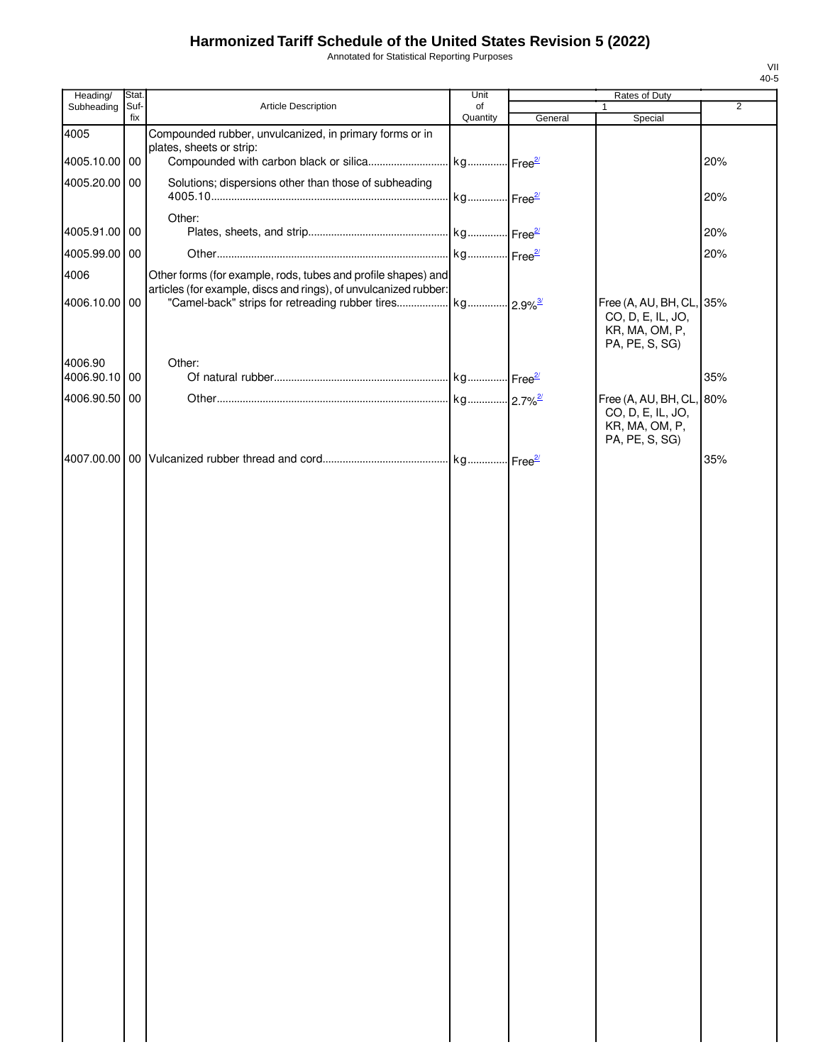Annotated for Statistical Reporting Purposes

| Heading/                 | Stat.       |                                                                                                                                   | Unit                  |         | Rates of Duty                                                                 |                |
|--------------------------|-------------|-----------------------------------------------------------------------------------------------------------------------------------|-----------------------|---------|-------------------------------------------------------------------------------|----------------|
| Subheading               | Suf-<br>fix | Article Description                                                                                                               | of<br>Quantity        | General | 1<br>Special                                                                  | $\overline{2}$ |
| 4005<br>4005.10.00 00    |             | Compounded rubber, unvulcanized, in primary forms or in<br>plates, sheets or strip:<br>Compounded with carbon black or silica     | kg Free <sup>27</sup> |         |                                                                               | 20%            |
| 4005.20.00 00            |             | Solutions; dispersions other than those of subheading                                                                             | kg Free <sup>2/</sup> |         |                                                                               | 20%            |
| 4005.91.00 00            |             | Other:                                                                                                                            |                       |         |                                                                               | 20%            |
| 4005.99.00 00            |             |                                                                                                                                   |                       |         |                                                                               | 20%            |
| 4006<br>4006.10.00 00    |             | Other forms (for example, rods, tubes and profile shapes) and<br>articles (for example, discs and rings), of unvulcanized rubber: |                       |         | Free (A, AU, BH, CL, 35%                                                      |                |
|                          |             |                                                                                                                                   |                       |         | CO, D, E, IL, JO,<br>KR, MA, OM, P,<br>PA, PE, S, SG)                         |                |
| 4006.90<br>4006.90.10 00 |             | Other:                                                                                                                            |                       |         |                                                                               | 35%            |
| 4006.90.50 00            |             |                                                                                                                                   |                       |         |                                                                               |                |
|                          |             |                                                                                                                                   |                       |         | Free (A, AU, BH, CL,<br>CO, D, E, IL, JO,<br>KR, MA, OM, P,<br>PA, PE, S, SG) | 80%            |
|                          |             |                                                                                                                                   |                       |         |                                                                               | 35%            |
|                          |             |                                                                                                                                   |                       |         |                                                                               |                |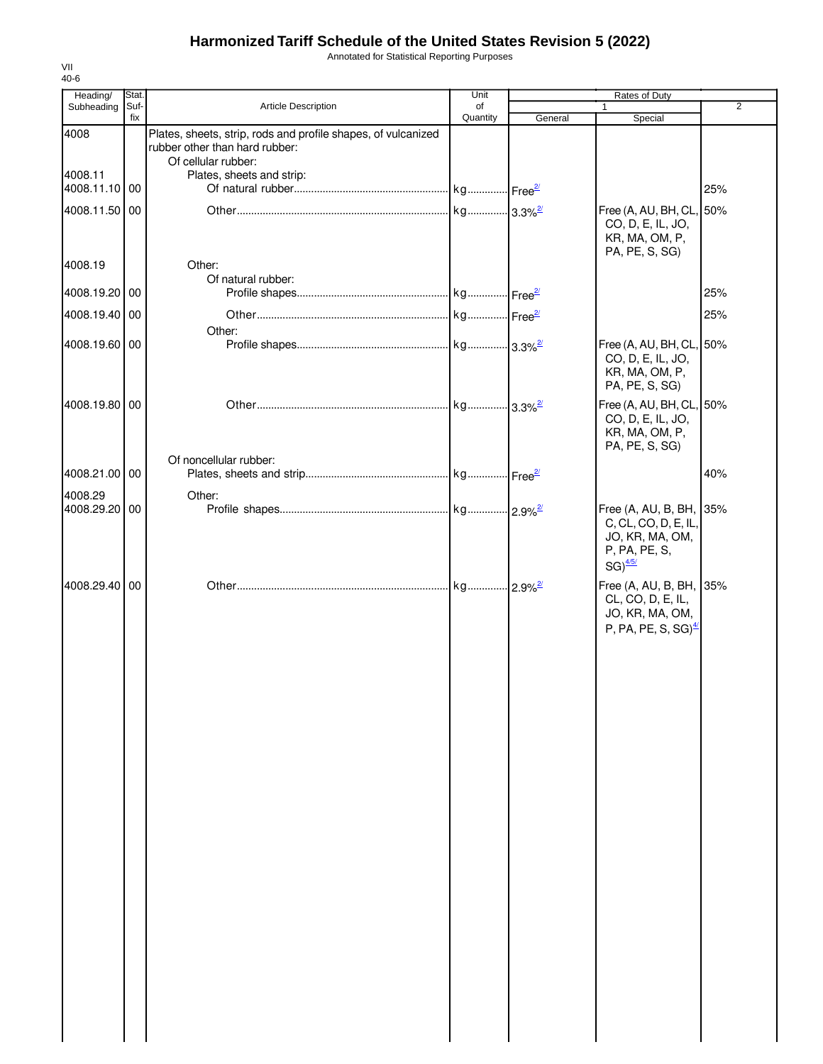Annotated for Statistical Reporting Purposes

| Heading/                 | Stat.       |                                                                                                                        | Unit           |         | Rates of Duty                                                                                                |                |
|--------------------------|-------------|------------------------------------------------------------------------------------------------------------------------|----------------|---------|--------------------------------------------------------------------------------------------------------------|----------------|
| Subheading               | Suf-<br>fix | Article Description                                                                                                    | of<br>Quantity | General | 1<br>Special                                                                                                 | $\overline{2}$ |
| 4008                     |             | Plates, sheets, strip, rods and profile shapes, of vulcanized<br>rubber other than hard rubber:<br>Of cellular rubber: |                |         |                                                                                                              |                |
| 4008.11<br>4008.11.10 00 |             | Plates, sheets and strip:                                                                                              |                |         |                                                                                                              | 25%            |
| 4008.11.50 00            |             |                                                                                                                        |                |         | Free (A, AU, BH, CL, 50%<br>CO, D, E, IL, JO,<br>KR, MA, OM, P,<br>PA, PE, S, SG)                            |                |
| 4008.19                  |             | Other:<br>Of natural rubber:                                                                                           |                |         |                                                                                                              |                |
| 4008.19.20 00            |             |                                                                                                                        |                |         |                                                                                                              | 25%            |
| 4008.19.40 00            |             | Other:                                                                                                                 |                |         |                                                                                                              | 25%            |
| 4008.19.60 00            |             |                                                                                                                        |                |         | Free (A, AU, BH, CL, 50%<br>CO, D, E, IL, JO,<br>KR, MA, OM, P,<br>PA, PE, S, SG)                            |                |
| 4008.19.80 00            |             |                                                                                                                        |                |         | Free (A, AU, BH, CL, 50%<br>CO, D, E, IL, JO,<br>KR, MA, OM, P,<br>PA, PE, S, SG)                            |                |
| 4008.21.00 00            |             | Of noncellular rubber:                                                                                                 |                |         |                                                                                                              | 40%            |
| 4008.29                  |             | Other:                                                                                                                 |                |         |                                                                                                              |                |
| 4008.29.20 00            |             |                                                                                                                        |                |         | Free (A, AU, B, BH, 35%<br>C, CL, CO, D, E, IL,<br>JO, KR, MA, OM,<br>P, PA, PE, S,<br>$SG)$ <sup>4/5/</sup> |                |
| 4008.29.40 00            |             |                                                                                                                        |                |         | Free (A, AU, B, BH, 35%<br>CL, CO, D, E, IL,<br>JO, KR, MA, OM,<br>P, PA, PE, S, SG) $\frac{4}{3}$           |                |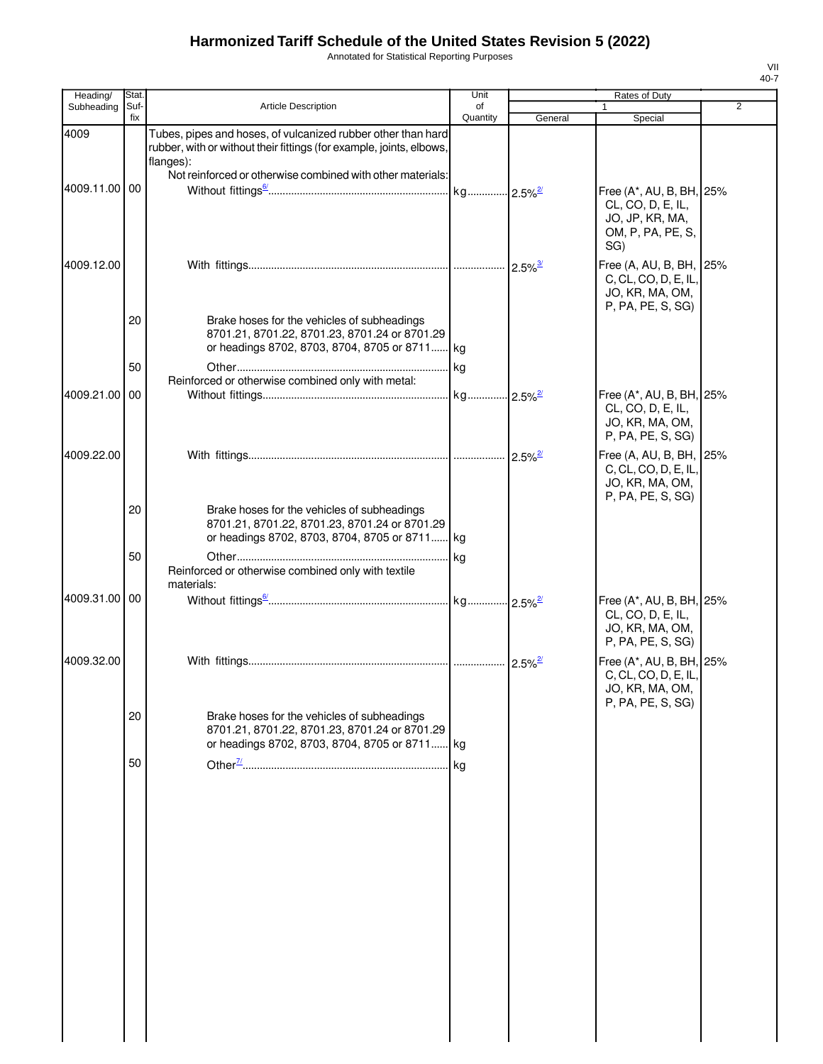Annotated for Statistical Reporting Purposes

| Heading/      | Stat.       |                                                                                                                                                   | Unit                  |                       | Rates of Duty                                                                                |                |
|---------------|-------------|---------------------------------------------------------------------------------------------------------------------------------------------------|-----------------------|-----------------------|----------------------------------------------------------------------------------------------|----------------|
| Subheading    | Suf-<br>fix | Article Description                                                                                                                               | of<br>Quantity        | General               | 1<br>Special                                                                                 | $\overline{2}$ |
| 4009          |             | Tubes, pipes and hoses, of vulcanized rubber other than hard<br>rubber, with or without their fittings (for example, joints, elbows,<br>flanges): |                       |                       |                                                                                              |                |
|               |             | Not reinforced or otherwise combined with other materials:                                                                                        |                       |                       |                                                                                              |                |
| 4009.11.00 00 |             |                                                                                                                                                   |                       |                       | Free (A*, AU, B, BH, 25%<br>CL, CO, D, E, IL,<br>JO, JP, KR, MA,<br>OM, P, PA, PE, S,<br>SG) |                |
| 4009.12.00    |             |                                                                                                                                                   |                       | $2.5\%$ <sup>3/</sup> | Free (A, AU, B, BH, 25%<br>C, CL, CO, D, E, IL,<br>JO, KR, MA, OM,<br>P, PA, PE, S, SG)      |                |
|               | 20          | Brake hoses for the vehicles of subheadings<br>8701.21, 8701.22, 8701.23, 8701.24 or 8701.29<br>or headings 8702, 8703, 8704, 8705 or 8711 kg     |                       |                       |                                                                                              |                |
|               | 50          |                                                                                                                                                   | kg                    |                       |                                                                                              |                |
|               |             | Reinforced or otherwise combined only with metal:                                                                                                 |                       |                       |                                                                                              |                |
| 4009.21.00 00 |             |                                                                                                                                                   | kg 2.5% <sup>27</sup> |                       | Free (A*, AU, B, BH, 25%<br>CL, CO, D, E, IL,<br>JO, KR, MA, OM,<br>P, PA, PE, S, SG)        |                |
| 4009.22.00    |             |                                                                                                                                                   |                       | $2.5\%$ <sup>2/</sup> | Free (A, AU, B, BH, 25%<br>C, CL, CO, D, E, IL,<br>JO, KR, MA, OM,<br>P, PA, PE, S, SG)      |                |
|               | 20          | Brake hoses for the vehicles of subheadings<br>8701.21, 8701.22, 8701.23, 8701.24 or 8701.29<br>or headings 8702, 8703, 8704, 8705 or 8711 kg     |                       |                       |                                                                                              |                |
|               | 50          | Reinforced or otherwise combined only with textile<br>materials:                                                                                  | kg                    |                       |                                                                                              |                |
| 4009.31.00 00 |             |                                                                                                                                                   |                       |                       | Free (A*, AU, B, BH, 25%<br>CL, CO, D, E, IL,<br>JO, KR, MA, OM,<br>P, PA, PE, S, SG)        |                |
| 4009.32.00    |             |                                                                                                                                                   |                       | $2.5\%$ <sup>2/</sup> | Free (A*, AU, B, BH, 25%<br>C, CL, CO, D, E, IL,<br>JO, KR, MA, OM,<br>P, PA, PE, S, SG)     |                |
|               | 20          | Brake hoses for the vehicles of subheadings<br>8701.21, 8701.22, 8701.23, 8701.24 or 8701.29<br>or headings 8702, 8703, 8704, 8705 or 8711        | . kg                  |                       |                                                                                              |                |
|               | 50          |                                                                                                                                                   | kg                    |                       |                                                                                              |                |
|               |             |                                                                                                                                                   |                       |                       |                                                                                              |                |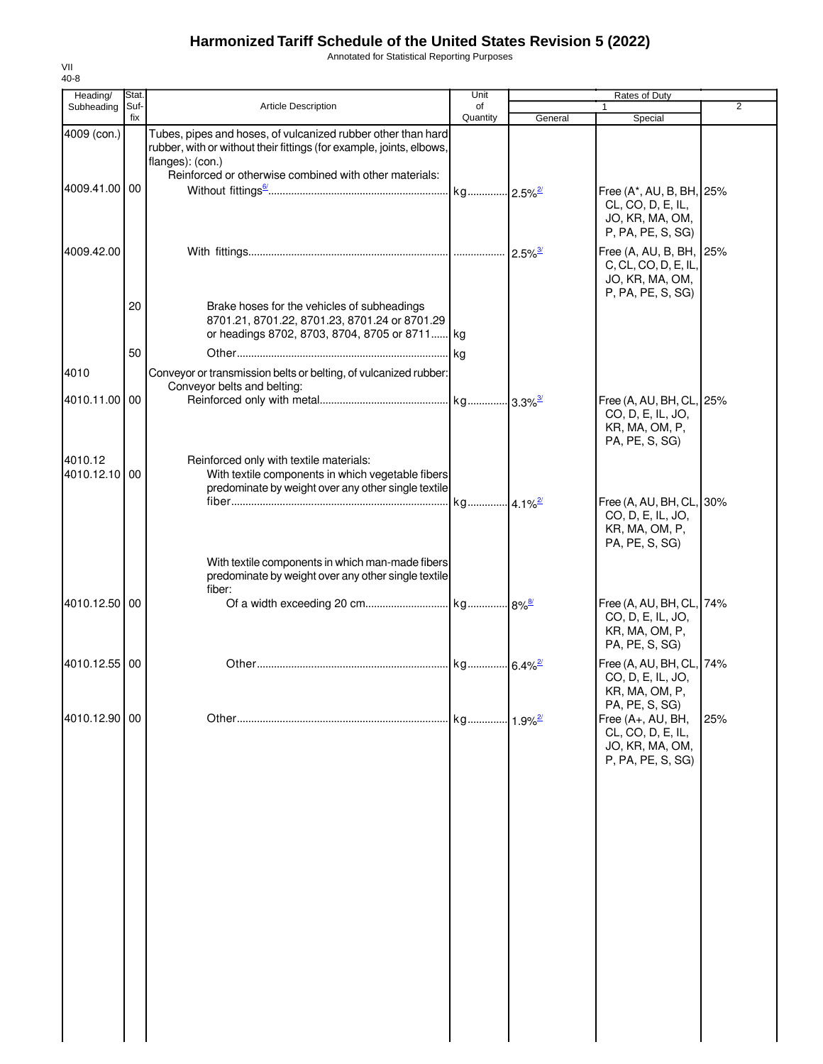Annotated for Statistical Reporting Purposes

| Heading/                 | Stat. |                                                                                                                                                          | Unit                  |         | Rates of Duty                                                                                    |                |
|--------------------------|-------|----------------------------------------------------------------------------------------------------------------------------------------------------------|-----------------------|---------|--------------------------------------------------------------------------------------------------|----------------|
| Subheading               | Suf-  | <b>Article Description</b>                                                                                                                               | of                    |         |                                                                                                  | $\overline{2}$ |
| 4009 (con.)              | fix   | Tubes, pipes and hoses, of vulcanized rubber other than hard<br>rubber, with or without their fittings (for example, joints, elbows,<br>flanges): (con.) | Quantity              | General | Special                                                                                          |                |
|                          |       | Reinforced or otherwise combined with other materials:                                                                                                   |                       |         |                                                                                                  |                |
| 4009.41.00 00            |       |                                                                                                                                                          |                       |         | Free (A*, AU, B, BH, 25%<br>CL, CO, D, E, IL,<br>JO, KR, MA, OM,<br>P, PA, PE, S, SG)            |                |
| 4009.42.00               |       |                                                                                                                                                          |                       |         | Free (A, AU, B, BH, 25%<br>C, CL, CO, D, E, IL,<br>JO, KR, MA, OM,<br>P, PA, PE, S, SG)          |                |
|                          | 20    | Brake hoses for the vehicles of subheadings<br>8701.21, 8701.22, 8701.23, 8701.24 or 8701.29<br>or headings 8702, 8703, 8704, 8705 or 8711 kg            |                       |         |                                                                                                  |                |
|                          | 50    |                                                                                                                                                          |                       |         |                                                                                                  |                |
| 4010                     |       | Conveyor or transmission belts or belting, of vulcanized rubber:<br>Conveyor belts and belting:                                                          |                       |         |                                                                                                  |                |
| 4010.11.00 00            |       |                                                                                                                                                          |                       |         | Free (A, AU, BH, CL, 25%<br>CO, D, E, IL, JO,<br>KR, MA, OM, P,<br>PA, PE, S, SG)                |                |
| 4010.12<br>4010.12.10 00 |       | Reinforced only with textile materials:<br>With textile components in which vegetable fibers<br>predominate by weight over any other single textile      |                       |         |                                                                                                  |                |
|                          |       |                                                                                                                                                          | kg 4.1% <sup>2/</sup> |         | Free (A, AU, BH, CL, 30%<br>CO, D, E, IL, JO,<br>KR, MA, OM, P,<br>PA, PE, S, SG)                |                |
|                          |       | With textile components in which man-made fibers<br>predominate by weight over any other single textile<br>fiber:                                        |                       |         |                                                                                                  |                |
| 4010.12.50 00            |       |                                                                                                                                                          |                       |         | Free (A, AU, BH, CL, 74%<br>CO, D, E, IL, JO,<br>KR, MA, OM, P,<br>PA, PE, S, SG)                |                |
| 4010.12.55 00            |       |                                                                                                                                                          |                       |         | Free (A, AU, BH, CL, 74%<br>CO, D, E, IL, JO,<br>KR, MA, OM, P,                                  |                |
| 4010.12.90 00            |       |                                                                                                                                                          |                       |         | PA, PE, S, SG)<br>Free (A+, AU, BH,<br>CL, CO, D, E, IL,<br>JO, KR, MA, OM,<br>P, PA, PE, S, SG) | 25%            |
|                          |       |                                                                                                                                                          |                       |         |                                                                                                  |                |
|                          |       |                                                                                                                                                          |                       |         |                                                                                                  |                |
|                          |       |                                                                                                                                                          |                       |         |                                                                                                  |                |
|                          |       |                                                                                                                                                          |                       |         |                                                                                                  |                |
|                          |       |                                                                                                                                                          |                       |         |                                                                                                  |                |
|                          |       |                                                                                                                                                          |                       |         |                                                                                                  |                |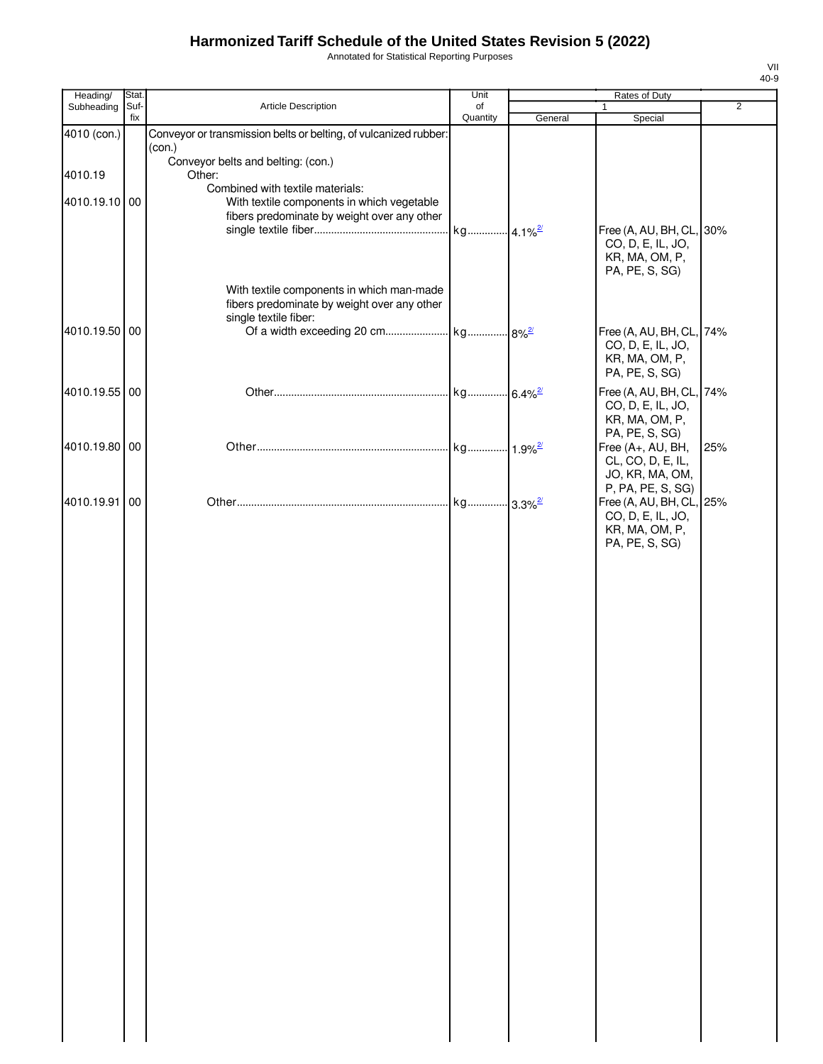Annotated for Statistical Reporting Purposes

| Heading/      | Stat.       |                                                                                          | Unit           |         | Rates of Duty                        |                |
|---------------|-------------|------------------------------------------------------------------------------------------|----------------|---------|--------------------------------------|----------------|
| Subheading    | Suf-<br>fix | Article Description                                                                      | of<br>Quantity | General | 1<br>Special                         | $\overline{2}$ |
| 4010 (con.)   |             | Conveyor or transmission belts or belting, of vulcanized rubber:                         |                |         |                                      |                |
|               |             | (con.)                                                                                   |                |         |                                      |                |
| 4010.19       |             | Conveyor belts and belting: (con.)<br>Other:                                             |                |         |                                      |                |
|               |             | Combined with textile materials:                                                         |                |         |                                      |                |
| 4010.19.10 00 |             | With textile components in which vegetable                                               |                |         |                                      |                |
|               |             | fibers predominate by weight over any other                                              |                |         | Free (A, AU, BH, CL, 30%             |                |
|               |             |                                                                                          |                |         | CO, D, E, IL, JO,                    |                |
|               |             |                                                                                          |                |         | KR, MA, OM, P,                       |                |
|               |             |                                                                                          |                |         | PA, PE, S, SG)                       |                |
|               |             | With textile components in which man-made<br>fibers predominate by weight over any other |                |         |                                      |                |
|               |             | single textile fiber:                                                                    |                |         |                                      |                |
| 4010.19.50 00 |             |                                                                                          |                |         | Free (A, AU, BH, CL, 74%             |                |
|               |             |                                                                                          |                |         | CO, D, E, IL, JO,<br>KR, MA, OM, P,  |                |
|               |             |                                                                                          |                |         | PA, PE, S, SG)                       |                |
| 4010.19.55 00 |             |                                                                                          |                |         | Free (A, AU, BH, CL, 74%             |                |
|               |             |                                                                                          |                |         | CO, D, E, IL, JO,                    |                |
|               |             |                                                                                          |                |         | KR, MA, OM, P,<br>PA, PE, S, SG)     |                |
| 4010.19.80 00 |             |                                                                                          |                |         | Free (A+, AU, BH,                    | 25%            |
|               |             |                                                                                          |                |         | CL, CO, D, E, IL,                    |                |
|               |             |                                                                                          |                |         | JO, KR, MA, OM,<br>P, PA, PE, S, SG) |                |
| 4010.19.91 00 |             |                                                                                          |                |         | Free (A, AU, BH, CL, 25%             |                |
|               |             |                                                                                          |                |         | CO, D, E, IL, JO,                    |                |
|               |             |                                                                                          |                |         | KR, MA, OM, P,<br>PA, PE, S, SG)     |                |
|               |             |                                                                                          |                |         |                                      |                |
|               |             |                                                                                          |                |         |                                      |                |
|               |             |                                                                                          |                |         |                                      |                |
|               |             |                                                                                          |                |         |                                      |                |
|               |             |                                                                                          |                |         |                                      |                |
|               |             |                                                                                          |                |         |                                      |                |
|               |             |                                                                                          |                |         |                                      |                |
|               |             |                                                                                          |                |         |                                      |                |
|               |             |                                                                                          |                |         |                                      |                |
|               |             |                                                                                          |                |         |                                      |                |
|               |             |                                                                                          |                |         |                                      |                |
|               |             |                                                                                          |                |         |                                      |                |
|               |             |                                                                                          |                |         |                                      |                |
|               |             |                                                                                          |                |         |                                      |                |
|               |             |                                                                                          |                |         |                                      |                |
|               |             |                                                                                          |                |         |                                      |                |
|               |             |                                                                                          |                |         |                                      |                |
|               |             |                                                                                          |                |         |                                      |                |
|               |             |                                                                                          |                |         |                                      |                |
|               |             |                                                                                          |                |         |                                      |                |
|               |             |                                                                                          |                |         |                                      |                |
|               |             |                                                                                          |                |         |                                      |                |
|               |             |                                                                                          |                |         |                                      |                |
|               |             |                                                                                          |                |         |                                      |                |
|               |             |                                                                                          |                |         |                                      |                |
|               |             |                                                                                          |                |         |                                      |                |
|               |             |                                                                                          |                |         |                                      |                |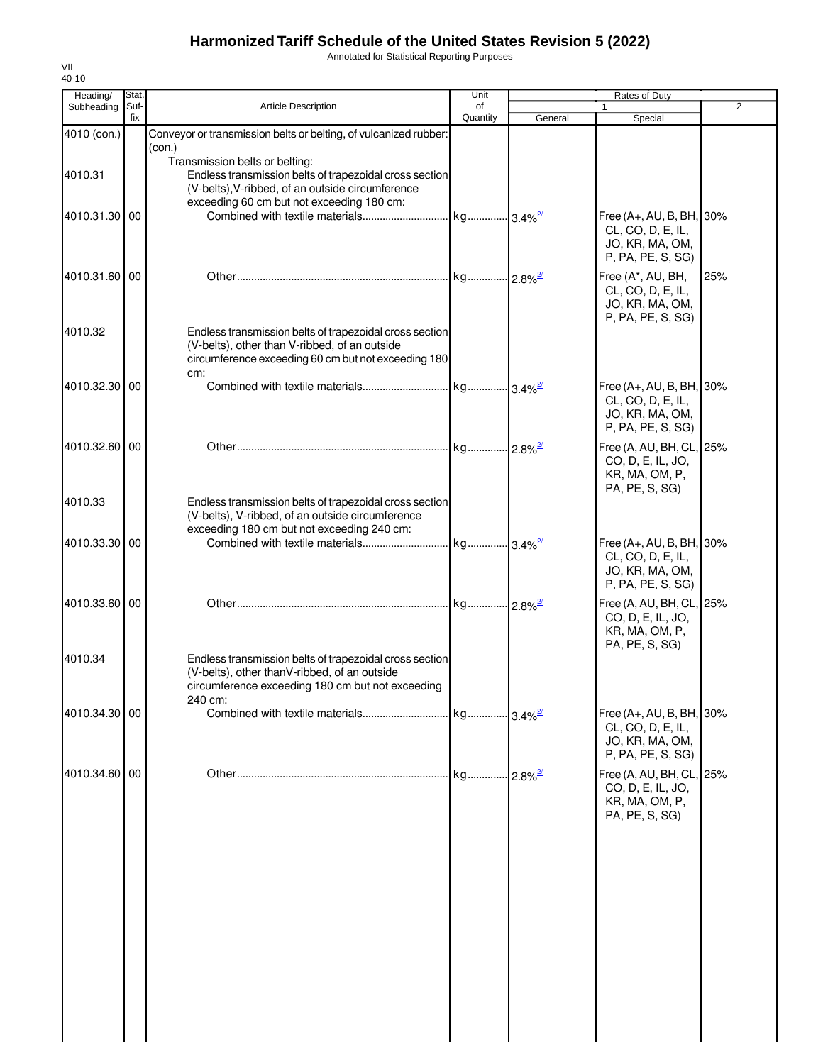Annotated for Statistical Reporting Purposes

| Heading/      | Stat.       |                                                                                                                                                                                            | Unit           |          | Rates of Duty                                                                           |                |
|---------------|-------------|--------------------------------------------------------------------------------------------------------------------------------------------------------------------------------------------|----------------|----------|-----------------------------------------------------------------------------------------|----------------|
| Subheading    | Suf-<br>fix | <b>Article Description</b>                                                                                                                                                                 | of<br>Quantity | General  | Special                                                                                 | $\overline{2}$ |
| 4010 (con.)   |             | Conveyor or transmission belts or belting, of vulcanized rubber:<br>(con.)                                                                                                                 |                |          |                                                                                         |                |
| 4010.31       |             | Transmission belts or belting:<br>Endless transmission belts of trapezoidal cross section<br>(V-belts), V-ribbed, of an outside circumference<br>exceeding 60 cm but not exceeding 180 cm: |                |          |                                                                                         |                |
| 4010.31.30 00 |             |                                                                                                                                                                                            |                |          | Free (A+, AU, B, BH, 30%<br>CL, CO, D, E, IL,<br>JO, KR, MA, OM,<br>P, PA, PE, S, SG)   |                |
| 4010.31.60 00 |             |                                                                                                                                                                                            |                |          | Free (A*, AU, BH,<br>CL, CO, D, E, IL,<br>JO, KR, MA, OM,<br>P, PA, PE, S, SG)          | 25%            |
| 4010.32       |             | Endless transmission belts of trapezoidal cross section<br>(V-belts), other than V-ribbed, of an outside<br>circumference exceeding 60 cm but not exceeding 180<br>cm:                     |                |          |                                                                                         |                |
| 4010.32.30 00 |             |                                                                                                                                                                                            |                |          | Free $(A+, AU, B, BH, 30%$<br>CL, CO, D, E, IL,<br>JO, KR, MA, OM,<br>P, PA, PE, S, SG) |                |
| 4010.32.60 00 |             |                                                                                                                                                                                            |                |          | Free (A, AU, BH, CL, 25%<br>CO, D, E, IL, JO,<br>KR, MA, OM, P,<br>PA, PE, S, SG)       |                |
| 4010.33       |             | Endless transmission belts of trapezoidal cross section<br>(V-belts), V-ribbed, of an outside circumference<br>exceeding 180 cm but not exceeding 240 cm:                                  |                |          |                                                                                         |                |
| 4010.33.30 00 |             |                                                                                                                                                                                            |                |          | Free (A+, AU, B, BH, 30%<br>CL, CO, D, E, IL,<br>JO, KR, MA, OM,<br>P, PA, PE, S, SG)   |                |
| 4010.33.60 00 |             |                                                                                                                                                                                            |                |          | Free (A, AU, BH, CL, 25%<br>CO, D, E, IL, JO,<br>KR, MA, OM, P,<br>PA, PE, S, SG)       |                |
| 4010.34       |             | Endless transmission belts of trapezoidal cross section<br>(V-belts), other thanV-ribbed, of an outside<br>circumference exceeding 180 cm but not exceeding<br>240 cm:                     |                |          |                                                                                         |                |
| 4010.34.30 00 |             |                                                                                                                                                                                            |                |          | Free (A+, AU, B, BH, 30%<br>CL, CO, D, E, IL,<br>JO, KR, MA, OM,<br>P, PA, PE, S, SG)   |                |
| 4010.34.60 00 |             |                                                                                                                                                                                            | kg             | $-2.8\%$ | Free (A, AU, BH, CL, 25%<br>CO, D, E, IL, JO,<br>KR, MA, OM, P,<br>PA, PE, S, SG)       |                |
|               |             |                                                                                                                                                                                            |                |          |                                                                                         |                |
|               |             |                                                                                                                                                                                            |                |          |                                                                                         |                |
|               |             |                                                                                                                                                                                            |                |          |                                                                                         |                |
|               |             |                                                                                                                                                                                            |                |          |                                                                                         |                |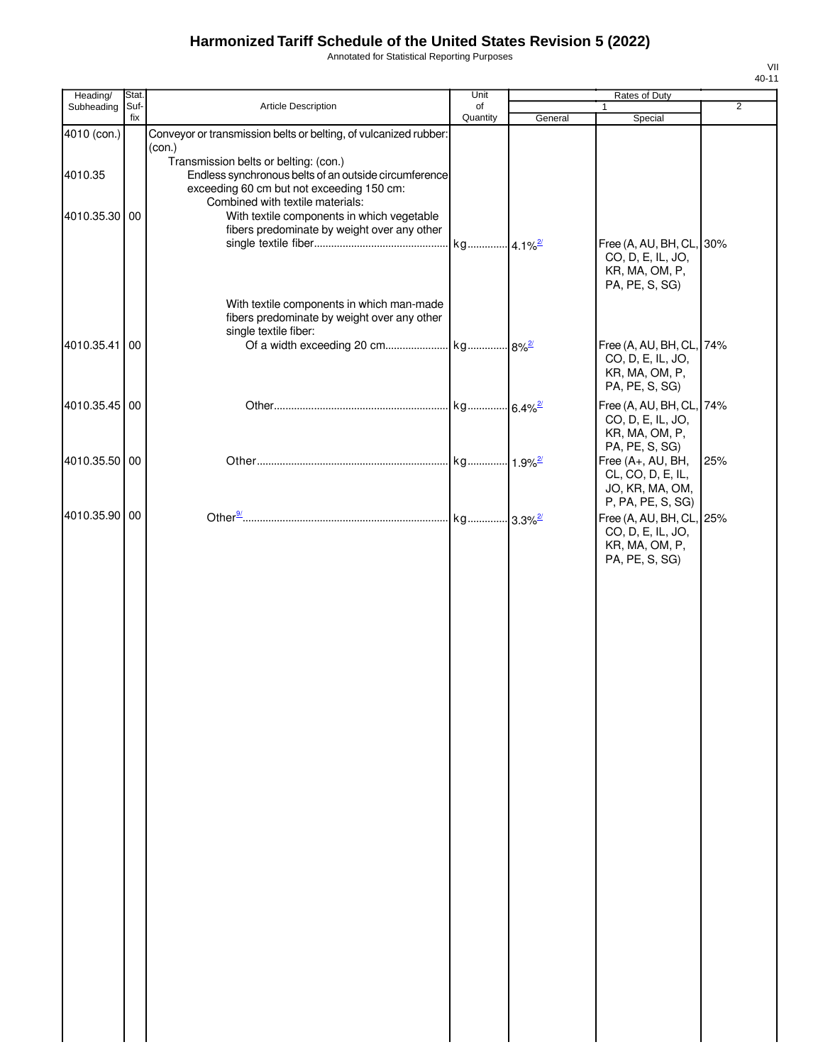Annotated for Statistical Reporting Purposes

| Heading/                 | Stat. |                                                                                                                                                                                                                                                                                        | Unit     |                        | Rates of Duty                                                                                                         |                |
|--------------------------|-------|----------------------------------------------------------------------------------------------------------------------------------------------------------------------------------------------------------------------------------------------------------------------------------------|----------|------------------------|-----------------------------------------------------------------------------------------------------------------------|----------------|
| Subheading               | Suf-  | Article Description                                                                                                                                                                                                                                                                    | of       |                        | $\mathbf{1}$                                                                                                          | $\overline{2}$ |
| 4010 (con.)              | fix   | Conveyor or transmission belts or belting, of vulcanized rubber:                                                                                                                                                                                                                       | Quantity | General                | Special                                                                                                               |                |
| 4010.35<br>4010.35.30 00 |       | (con.)<br>Transmission belts or belting: (con.)<br>Endless synchronous belts of an outside circumference<br>exceeding 60 cm but not exceeding 150 cm:<br>Combined with textile materials:<br>With textile components in which vegetable<br>fibers predominate by weight over any other |          |                        | Free (A, AU, BH, CL, 30%<br>CO, D, E, IL, JO,                                                                         |                |
| 4010.35.41               | 00    | With textile components in which man-made<br>fibers predominate by weight over any other<br>single textile fiber:                                                                                                                                                                      |          |                        | KR, MA, OM, P,<br>PA, PE, S, SG)<br>Free (A, AU, BH, CL, 74%<br>CO, D, E, IL, JO,<br>KR, MA, OM, P,<br>PA, PE, S, SG) |                |
| 4010.35.45 00            |       |                                                                                                                                                                                                                                                                                        | kg       | $.6.4\%$ <sup>2/</sup> | Free (A, AU, BH, CL, 74%<br>CO, D, E, IL, JO,<br>KR, MA, OM, P,                                                       |                |
| 4010.35.50 00            |       |                                                                                                                                                                                                                                                                                        |          |                        | PA, PE, S, SG)<br>Free (A+, AU, BH,<br>CL, CO, D, E, IL,<br>JO, KR, MA, OM,                                           | 25%            |
| 4010.35.90 00            |       |                                                                                                                                                                                                                                                                                        |          |                        | P, PA, PE, S, SG)<br>Free (A, AU, BH, CL, 25%<br>CO, D, E, IL, JO,<br>KR, MA, OM, P,<br>PA, PE, S, SG)                |                |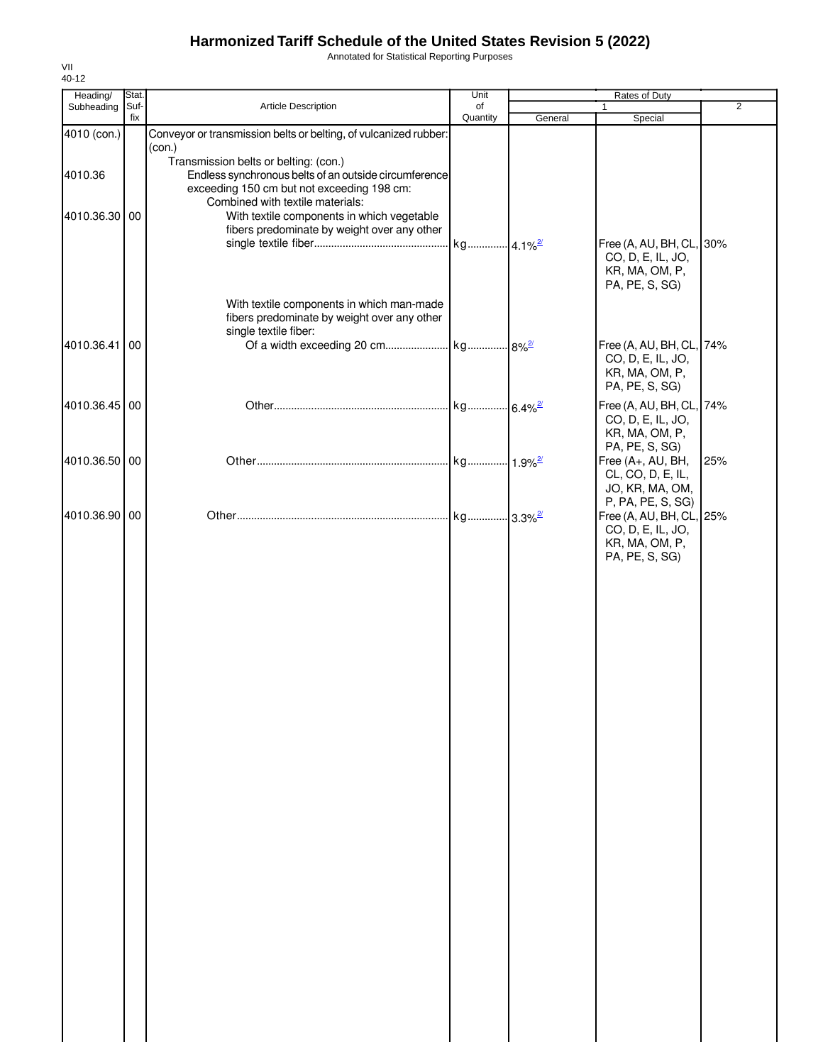Annotated for Statistical Reporting Purposes

| Heading/                 | Stat. |                                                                                                                                                                                                                                          | Unit                  |         | Rates of Duty                                                                                    |                |
|--------------------------|-------|------------------------------------------------------------------------------------------------------------------------------------------------------------------------------------------------------------------------------------------|-----------------------|---------|--------------------------------------------------------------------------------------------------|----------------|
| Subheading               | Suf-  | Article Description                                                                                                                                                                                                                      | of                    |         | 1                                                                                                | $\overline{2}$ |
| 4010 (con.)              | fix   | Conveyor or transmission belts or belting, of vulcanized rubber:                                                                                                                                                                         | Quantity              | General | Special                                                                                          |                |
| 4010.36<br>4010.36.30 00 |       | (con.)<br>Transmission belts or belting: (con.)<br>Endless synchronous belts of an outside circumference<br>exceeding 150 cm but not exceeding 198 cm:<br>Combined with textile materials:<br>With textile components in which vegetable |                       |         |                                                                                                  |                |
|                          |       | fibers predominate by weight over any other                                                                                                                                                                                              | kg 4.1% <sup>2/</sup> |         | Free (A, AU, BH, CL, 30%<br>CO, D, E, IL, JO,<br>KR, MA, OM, P,<br>PA, PE, S, SG)                |                |
|                          |       | With textile components in which man-made<br>fibers predominate by weight over any other<br>single textile fiber:                                                                                                                        |                       |         |                                                                                                  |                |
| 4010.36.41               | 00    |                                                                                                                                                                                                                                          |                       |         | Free (A, AU, BH, CL, 74%<br>CO, D, E, IL, JO,<br>KR, MA, OM, P,<br>PA, PE, S, SG)                |                |
| 4010.36.45 00            |       |                                                                                                                                                                                                                                          |                       |         | Free (A, AU, BH, CL, 74%<br>CO, D, E, IL, JO,<br>KR, MA, OM, P,                                  |                |
| 4010.36.50 00            |       |                                                                                                                                                                                                                                          |                       |         | PA, PE, S, SG)<br>Free (A+, AU, BH,<br>CL, CO, D, E, IL,<br>JO, KR, MA, OM,<br>P, PA, PE, S, SG) | 25%            |
| 4010.36.90 00            |       |                                                                                                                                                                                                                                          | kg 3.3% <sup>2/</sup> |         | Free (A, AU, BH, CL, 25%<br>CO, D, E, IL, JO,<br>KR, MA, OM, P,<br>PA, PE, S, SG)                |                |
|                          |       |                                                                                                                                                                                                                                          |                       |         |                                                                                                  |                |
|                          |       |                                                                                                                                                                                                                                          |                       |         |                                                                                                  |                |
|                          |       |                                                                                                                                                                                                                                          |                       |         |                                                                                                  |                |
|                          |       |                                                                                                                                                                                                                                          |                       |         |                                                                                                  |                |
|                          |       |                                                                                                                                                                                                                                          |                       |         |                                                                                                  |                |
|                          |       |                                                                                                                                                                                                                                          |                       |         |                                                                                                  |                |
|                          |       |                                                                                                                                                                                                                                          |                       |         |                                                                                                  |                |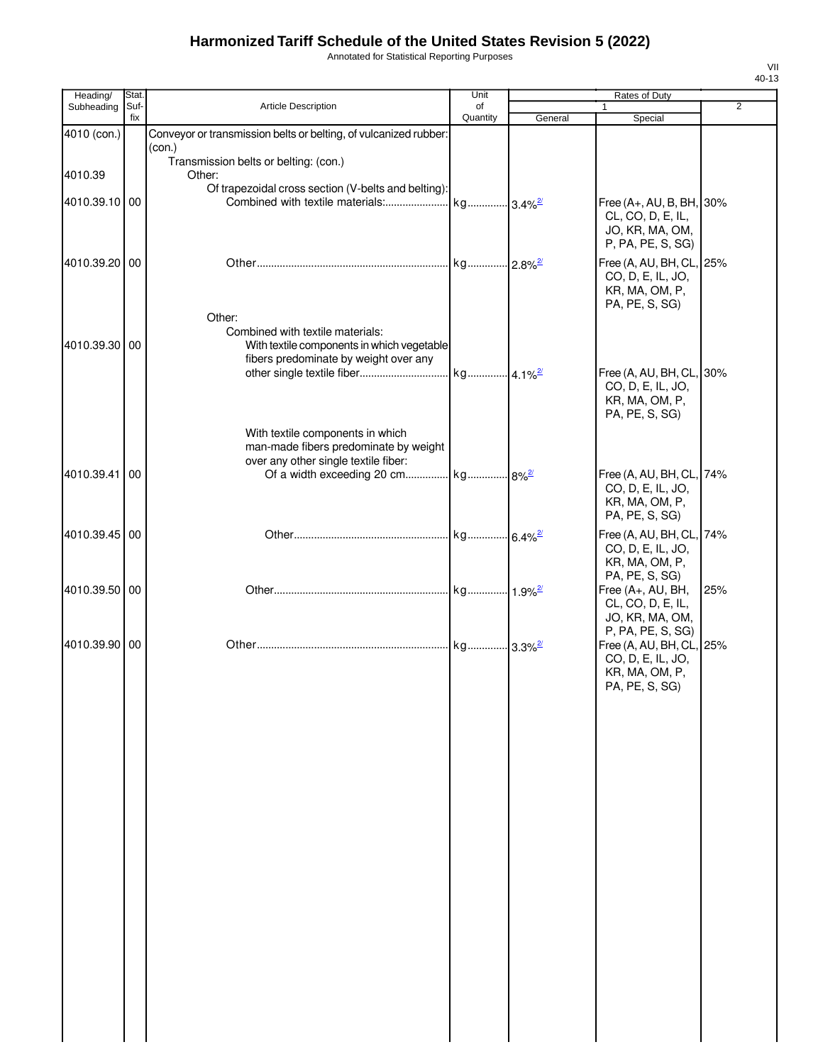Annotated for Statistical Reporting Purposes

| Heading/      | Stat.           |                                                                  | Unit                  |         | Rates of Duty                                 |                |
|---------------|-----------------|------------------------------------------------------------------|-----------------------|---------|-----------------------------------------------|----------------|
| Subheading    | Suf-<br>fix     | Article Description                                              | of<br>Quantity        | General |                                               | $\overline{2}$ |
| 4010 (con.)   |                 | Conveyor or transmission belts or belting, of vulcanized rubber: |                       |         | Special                                       |                |
|               |                 | (con.)                                                           |                       |         |                                               |                |
|               |                 | Transmission belts or belting: (con.)                            |                       |         |                                               |                |
| 4010.39       |                 | Other:                                                           |                       |         |                                               |                |
|               |                 | Of trapezoidal cross section (V-belts and belting):              |                       |         |                                               |                |
| 4010.39.10    | $\overline{00}$ |                                                                  |                       |         | Free (A+, AU, B, BH, 30%                      |                |
|               |                 |                                                                  |                       |         | CL, CO, D, E, IL,<br>JO, KR, MA, OM,          |                |
|               |                 |                                                                  |                       |         | P, PA, PE, S, SG)                             |                |
| 4010.39.20 00 |                 |                                                                  |                       |         |                                               |                |
|               |                 |                                                                  |                       |         | Free (A, AU, BH, CL, 25%<br>CO, D, E, IL, JO, |                |
|               |                 |                                                                  |                       |         | KR, MA, OM, P,                                |                |
|               |                 |                                                                  |                       |         | PA, PE, S, SG)                                |                |
|               |                 | Other:                                                           |                       |         |                                               |                |
|               |                 | Combined with textile materials:                                 |                       |         |                                               |                |
| 4010.39.30 00 |                 | With textile components in which vegetable                       |                       |         |                                               |                |
|               |                 | fibers predominate by weight over any                            |                       |         | Free (A, AU, BH, CL, 30%                      |                |
|               |                 |                                                                  |                       |         | CO, D, E, IL, JO,                             |                |
|               |                 |                                                                  |                       |         | KR, MA, OM, P,                                |                |
|               |                 |                                                                  |                       |         | PA, PE, S, SG)                                |                |
|               |                 | With textile components in which                                 |                       |         |                                               |                |
|               |                 | man-made fibers predominate by weight                            |                       |         |                                               |                |
|               |                 | over any other single textile fiber:                             |                       |         |                                               |                |
| 4010.39.41    | 00              | Of a width exceeding 20 cm kg 8% <sup>2</sup>                    |                       |         | Free (A, AU, BH, CL, 74%                      |                |
|               |                 |                                                                  |                       |         | CO, D, E, IL, JO,                             |                |
|               |                 |                                                                  |                       |         | KR, MA, OM, P,<br>PA, PE, S, SG)              |                |
|               |                 |                                                                  |                       |         |                                               |                |
| 4010.39.45 00 |                 |                                                                  |                       |         | Free (A, AU, BH, CL, 74%                      |                |
|               |                 |                                                                  |                       |         | CO, D, E, IL, JO,<br>KR, MA, OM, P,           |                |
|               |                 |                                                                  |                       |         | PA, PE, S, SG)                                |                |
| 4010.39.50 00 |                 |                                                                  |                       |         | Free (A+, AU, BH,                             | 25%            |
|               |                 |                                                                  |                       |         | CL, CO, D, E, IL,                             |                |
|               |                 |                                                                  |                       |         | JO, KR, MA, OM,                               |                |
|               |                 |                                                                  |                       |         | P, PA, PE, S, SG)                             |                |
| 4010.39.90 00 |                 |                                                                  | kg 3.3% <sup>2/</sup> |         | Free (A, AU, BH, CL, 25%<br>CO, D, E, IL, JO, |                |
|               |                 |                                                                  |                       |         | KR, MA, OM, P,                                |                |
|               |                 |                                                                  |                       |         | PA, PE, S, SG)                                |                |
|               |                 |                                                                  |                       |         |                                               |                |
|               |                 |                                                                  |                       |         |                                               |                |
|               |                 |                                                                  |                       |         |                                               |                |
|               |                 |                                                                  |                       |         |                                               |                |
|               |                 |                                                                  |                       |         |                                               |                |
|               |                 |                                                                  |                       |         |                                               |                |
|               |                 |                                                                  |                       |         |                                               |                |
|               |                 |                                                                  |                       |         |                                               |                |
|               |                 |                                                                  |                       |         |                                               |                |
|               |                 |                                                                  |                       |         |                                               |                |
|               |                 |                                                                  |                       |         |                                               |                |
|               |                 |                                                                  |                       |         |                                               |                |
|               |                 |                                                                  |                       |         |                                               |                |
|               |                 |                                                                  |                       |         |                                               |                |
|               |                 |                                                                  |                       |         |                                               |                |
|               |                 |                                                                  |                       |         |                                               |                |
|               |                 |                                                                  |                       |         |                                               |                |
|               |                 |                                                                  |                       |         |                                               |                |
|               |                 |                                                                  |                       |         |                                               |                |
|               |                 |                                                                  |                       |         |                                               |                |
|               |                 |                                                                  |                       |         |                                               |                |
|               |                 |                                                                  |                       |         |                                               |                |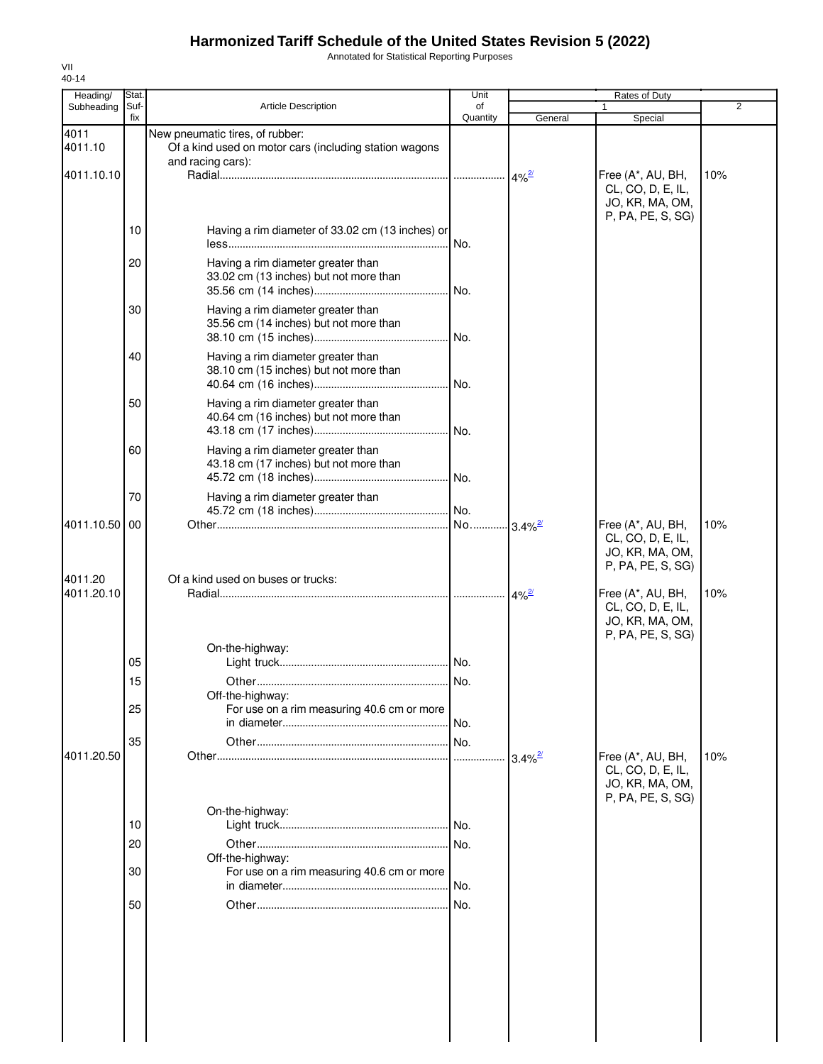Annotated for Statistical Reporting Purposes

| Heading/              | Stat.       |                                                                                                                | Unit           |                       | Rates of Duty                                                                  |                |
|-----------------------|-------------|----------------------------------------------------------------------------------------------------------------|----------------|-----------------------|--------------------------------------------------------------------------------|----------------|
| Subheading            | Suf-<br>fix | <b>Article Description</b>                                                                                     | of<br>Quantity | General               | 1<br>Special                                                                   | $\overline{2}$ |
| 4011<br>4011.10       |             | New pneumatic tires, of rubber:<br>Of a kind used on motor cars (including station wagons<br>and racing cars): |                |                       |                                                                                |                |
| 4011.10.10            |             |                                                                                                                |                |                       | Free (A*, AU, BH,<br>CL, CO, D, E, IL,<br>JO, KR, MA, OM,<br>P, PA, PE, S, SG) | 10%            |
|                       | 10          | Having a rim diameter of 33.02 cm (13 inches) or                                                               | No.            |                       |                                                                                |                |
|                       | 20          | Having a rim diameter greater than<br>33.02 cm (13 inches) but not more than                                   |                |                       |                                                                                |                |
|                       | 30          | Having a rim diameter greater than<br>35.56 cm (14 inches) but not more than                                   |                |                       |                                                                                |                |
|                       | 40          | Having a rim diameter greater than<br>38.10 cm (15 inches) but not more than                                   |                |                       |                                                                                |                |
|                       | 50          | Having a rim diameter greater than<br>40.64 cm (16 inches) but not more than                                   |                |                       |                                                                                |                |
|                       | 60          | Having a rim diameter greater than<br>43.18 cm (17 inches) but not more than                                   |                |                       |                                                                                |                |
|                       | 70          | Having a rim diameter greater than                                                                             |                |                       |                                                                                |                |
| 4011.10.50            | 00          |                                                                                                                |                |                       | Free (A*, AU, BH,<br>CL, CO, D, E, IL,<br>JO, KR, MA, OM,<br>P, PA, PE, S, SG) | 10%            |
| 4011.20<br>4011.20.10 |             | Of a kind used on buses or trucks:                                                                             |                |                       | Free (A*, AU, BH,<br>CL, CO, D, E, IL,<br>JO, KR, MA, OM,                      | 10%            |
|                       | 05          | On-the-highway:                                                                                                |                |                       | P, PA, PE, S, SG)                                                              |                |
|                       | 15<br>25    | Off-the-highway:<br>For use on a rim measuring 40.6 cm or more                                                 |                |                       |                                                                                |                |
| 4011.20.50            | 35          |                                                                                                                | No.            | $3.4\%$ <sup>2/</sup> | Free (A*, AU, BH,                                                              | 10%            |
|                       | 10          | On-the-highway:                                                                                                |                |                       | CL, CO, D, E, IL,<br>JO, KR, MA, OM,<br>P, PA, PE, S, SG)                      |                |
|                       | 20          |                                                                                                                | No.            |                       |                                                                                |                |
|                       | 30          | Off-the-highway:<br>For use on a rim measuring 40.6 cm or more                                                 | No.            |                       |                                                                                |                |
|                       | 50          |                                                                                                                | No.            |                       |                                                                                |                |
|                       |             |                                                                                                                |                |                       |                                                                                |                |
|                       |             |                                                                                                                |                |                       |                                                                                |                |
|                       |             |                                                                                                                |                |                       |                                                                                |                |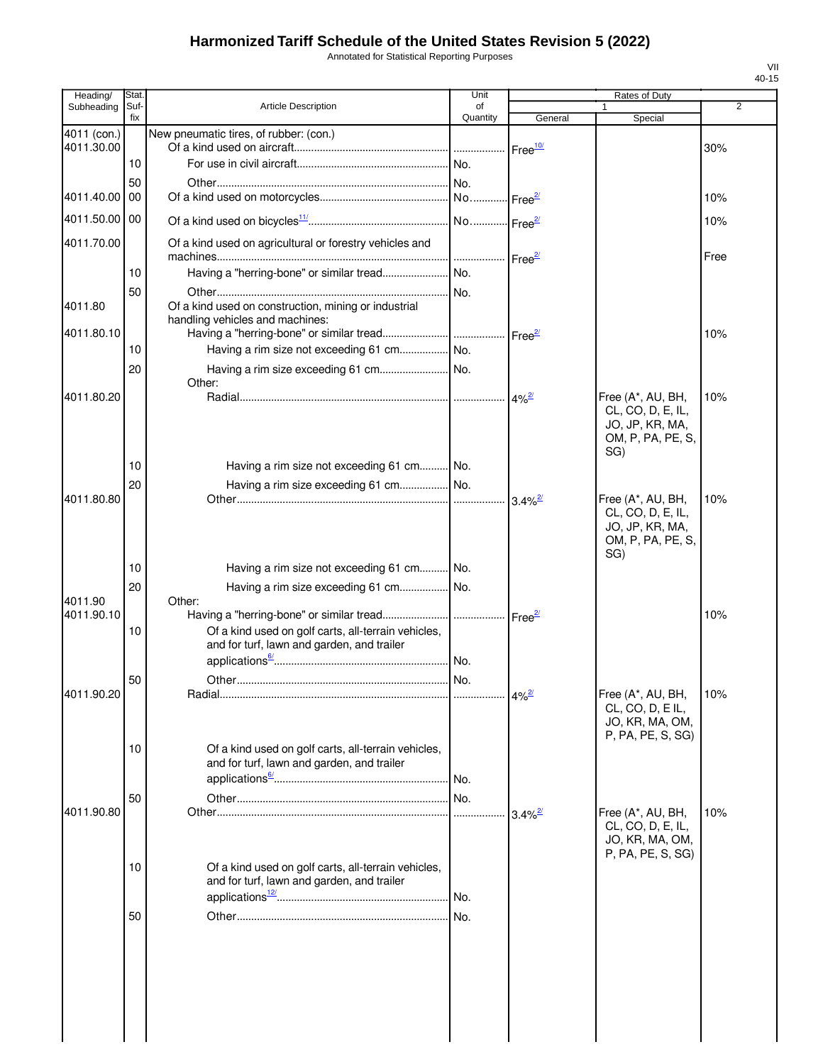Annotated for Statistical Reporting Purposes

| Heading/                  | Stat.       |                                                                                                   | Unit           |                       | Rates of Duty                                                                         |      |
|---------------------------|-------------|---------------------------------------------------------------------------------------------------|----------------|-----------------------|---------------------------------------------------------------------------------------|------|
| Subheading                | Suf-<br>fix | <b>Article Description</b>                                                                        | of<br>Quantity | General               | Special                                                                               | 2    |
| 4011 (con.)<br>4011.30.00 |             | New pneumatic tires, of rubber: (con.)                                                            |                | Free <sup>10</sup>    |                                                                                       | 30%  |
|                           | 10          |                                                                                                   |                |                       |                                                                                       |      |
|                           | 50          |                                                                                                   |                |                       |                                                                                       |      |
| 4011.40.00                | 00          |                                                                                                   |                |                       |                                                                                       | 10%  |
| 4011.50.00 00             |             |                                                                                                   |                |                       |                                                                                       | 10%  |
| 4011.70.00                |             | Of a kind used on agricultural or forestry vehicles and                                           |                | Free <sup>2/</sup>    |                                                                                       | Free |
|                           | 10          | Having a "herring-bone" or similar tread  No.                                                     |                |                       |                                                                                       |      |
|                           | 50          |                                                                                                   |                |                       |                                                                                       |      |
| 4011.80                   |             | Of a kind used on construction, mining or industrial<br>handling vehicles and machines:           |                |                       |                                                                                       |      |
| 4011.80.10                | 10          | Having a rim size not exceeding 61 cm No.                                                         |                | Free <sup>27</sup>    |                                                                                       | 10%  |
|                           | 20          |                                                                                                   |                |                       |                                                                                       |      |
|                           |             | Other:                                                                                            |                |                       |                                                                                       |      |
| 4011.80.20                |             |                                                                                                   |                | $4\%$ <sup>2/</sup>   | Free (A*, AU, BH,<br>CL, CO, D, E, IL,<br>JO, JP, KR, MA,<br>OM, P, PA, PE, S,<br>SG) | 10%  |
|                           | 10          | Having a rim size not exceeding 61 cm No.                                                         |                |                       |                                                                                       |      |
|                           | 20          | Having a rim size exceeding 61 cm No.                                                             |                |                       |                                                                                       |      |
| 4011.80.80                | 10          | Having a rim size not exceeding 61 cm No.                                                         |                | $3.4\%$ <sup>2/</sup> | Free (A*, AU, BH,<br>CL, CO, D, E, IL,<br>JO, JP, KR, MA,<br>OM, P, PA, PE, S,<br>SG) | 10%  |
|                           | 20          | Having a rim size exceeding 61 cm No.                                                             |                |                       |                                                                                       |      |
| 4011.90                   |             | Other:                                                                                            |                |                       |                                                                                       |      |
| 4011.90.10                |             |                                                                                                   |                | Free <sup>27</sup>    |                                                                                       | 10%  |
|                           | 10          | Of a kind used on golf carts, all-terrain vehicles,<br>and for turf, lawn and garden, and trailer |                |                       |                                                                                       |      |
|                           | 50          |                                                                                                   |                |                       |                                                                                       |      |
| 4011.90.20                |             |                                                                                                   |                |                       | Free (A*, AU, BH,<br>CL, CO, D, EIL,<br>JO, KR, MA, OM,                               | 10%  |
|                           | 10          | Of a kind used on golf carts, all-terrain vehicles,<br>and for turf, lawn and garden, and trailer |                |                       | P, PA, PE, S, SG)                                                                     |      |
|                           | 50          |                                                                                                   |                |                       |                                                                                       |      |
| 4011.90.80                |             |                                                                                                   |                | $3.4\%$ <sup>2/</sup> | Free (A*, AU, BH,<br>CL, CO, D, E, IL,<br>JO, KR, MA, OM,<br>P, PA, PE, S, SG)        | 10%  |
|                           | 10          | Of a kind used on golf carts, all-terrain vehicles,<br>and for turf, lawn and garden, and trailer |                |                       |                                                                                       |      |
|                           | 50          |                                                                                                   |                |                       |                                                                                       |      |
|                           |             |                                                                                                   |                |                       |                                                                                       |      |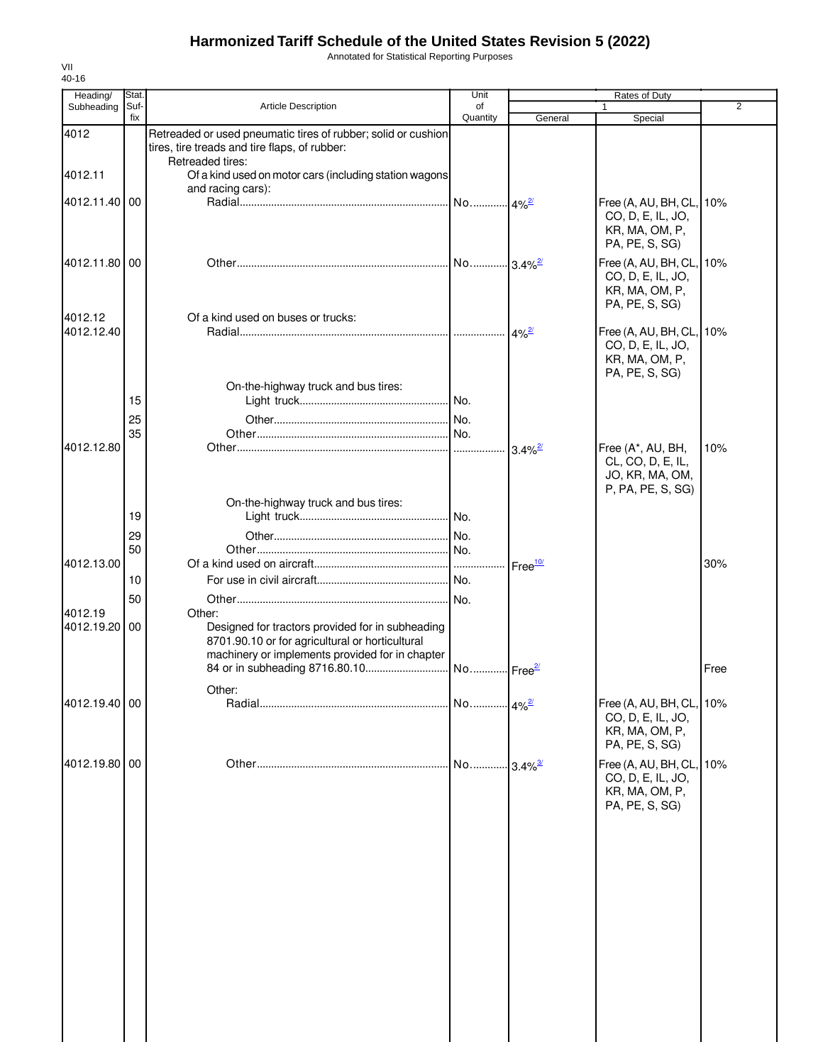Annotated for Statistical Reporting Purposes

| Heading/              | Stat.       |                                                                                                                                                                  | Unit                  | Rates of Duty      |                                                                                |      |
|-----------------------|-------------|------------------------------------------------------------------------------------------------------------------------------------------------------------------|-----------------------|--------------------|--------------------------------------------------------------------------------|------|
| Subheading            | Suf-<br>fix | <b>Article Description</b>                                                                                                                                       | of<br>Quantity        | General            | $\mathbf{1}$<br>Special                                                        | 2    |
| 4012                  |             | Retreaded or used pneumatic tires of rubber; solid or cushion<br>tires, tire treads and tire flaps, of rubber:                                                   |                       |                    |                                                                                |      |
| 4012.11               |             | Retreaded tires:<br>Of a kind used on motor cars (including station wagons                                                                                       |                       |                    |                                                                                |      |
|                       |             | and racing cars):                                                                                                                                                |                       |                    |                                                                                |      |
| 4012.11.40 00         |             |                                                                                                                                                                  |                       |                    | Free (A, AU, BH, CL,<br>CO, D, E, IL, JO,<br>KR, MA, OM, P,<br>PA, PE, S, SG)  | 10%  |
| 4012.11.80 00         |             |                                                                                                                                                                  |                       |                    | Free (A, AU, BH, CL,<br>CO, D, E, IL, JO,<br>KR, MA, OM, P,<br>PA, PE, S, SG)  | 10%  |
| 4012.12               |             | Of a kind used on buses or trucks:                                                                                                                               |                       |                    |                                                                                |      |
| 4012.12.40            |             |                                                                                                                                                                  |                       |                    | Free (A, AU, BH, CL,<br>CO, D, E, IL, JO,<br>KR, MA, OM, P,<br>PA, PE, S, SG)  | 10%  |
|                       |             | On-the-highway truck and bus tires:                                                                                                                              |                       |                    |                                                                                |      |
|                       | 15          |                                                                                                                                                                  |                       |                    |                                                                                |      |
|                       | 25<br>35    |                                                                                                                                                                  |                       |                    |                                                                                |      |
| 4012.12.80            |             |                                                                                                                                                                  |                       |                    | Free (A*, AU, BH,<br>CL, CO, D, E, IL,<br>JO, KR, MA, OM,<br>P, PA, PE, S, SG) | 10%  |
|                       |             | On-the-highway truck and bus tires:                                                                                                                              |                       |                    |                                                                                |      |
|                       | 19          |                                                                                                                                                                  |                       |                    |                                                                                |      |
|                       | 29          |                                                                                                                                                                  |                       |                    |                                                                                |      |
|                       | 50          |                                                                                                                                                                  |                       |                    |                                                                                |      |
| 4012.13.00            |             |                                                                                                                                                                  |                       | Free <sup>10</sup> |                                                                                | 30%  |
|                       | 10          |                                                                                                                                                                  |                       |                    |                                                                                |      |
|                       | 50          |                                                                                                                                                                  |                       |                    |                                                                                |      |
| 4012.19<br>4012.19.20 | 00          | Other:<br>Designed for tractors provided for in subheading<br>8701.90.10 or for agricultural or horticultural<br>machinery or implements provided for in chapter |                       |                    |                                                                                |      |
|                       |             |                                                                                                                                                                  |                       |                    |                                                                                | Free |
|                       |             | Other:                                                                                                                                                           |                       |                    |                                                                                |      |
| 4012.19.40 00         |             |                                                                                                                                                                  | No 4% <sup>2/</sup>   |                    | Free (A, AU, BH, CL,<br>CO, D, E, IL, JO,<br>KR, MA, OM, P,<br>PA, PE, S, SG)  | 10%  |
| 4012.19.80            | 00          |                                                                                                                                                                  | No 3.4% <sup>3/</sup> |                    | Free (A, AU, BH, CL,<br>CO, D, E, IL, JO,<br>KR, MA, OM, P,<br>PA, PE, S, SG)  | 10%  |
|                       |             |                                                                                                                                                                  |                       |                    |                                                                                |      |
|                       |             |                                                                                                                                                                  |                       |                    |                                                                                |      |
|                       |             |                                                                                                                                                                  |                       |                    |                                                                                |      |
|                       |             |                                                                                                                                                                  |                       |                    |                                                                                |      |
|                       |             |                                                                                                                                                                  |                       |                    |                                                                                |      |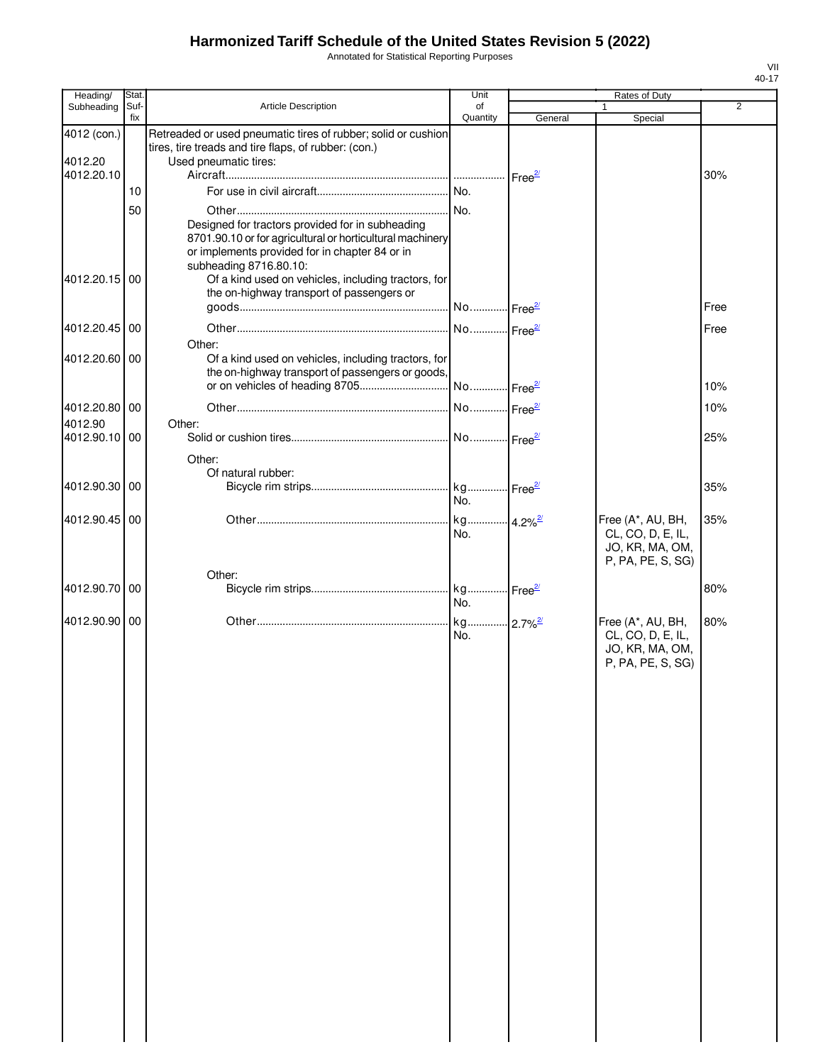Annotated for Statistical Reporting Purposes

| fix<br>Quantity<br>General<br>Special<br>4012 (con.)<br>Retreaded or used pneumatic tires of rubber; solid or cushion<br>tires, tire treads and tire flaps, of rubber: (con.)<br>Used pneumatic tires:<br>4012.20<br>4012.20.10<br>30%<br>10<br>50<br>Designed for tractors provided for in subheading<br>8701.90.10 or for agricultural or horticultural machinery<br>or implements provided for in chapter 84 or in<br>subheading 8716.80.10:<br>Of a kind used on vehicles, including tractors, for<br>4012.20.15 00<br>the on-highway transport of passengers or<br>Free<br>4012.20.45 00<br>Free<br>Other:<br>4012.20.60<br>00<br>Of a kind used on vehicles, including tractors, for<br>the on-highway transport of passengers or goods,<br>10%<br>4012.20.80 00<br>10%<br>4012.90<br>Other:<br>4012.90.10<br>00<br>25%<br>Other:<br>Of natural rubber:<br>4012.90.30<br>00<br>35%<br>No.<br>4012.90.45<br>Free (A*, AU, BH,<br>35%<br>00<br>No.<br>CL, CO, D, E, IL,<br>JO, KR, MA, OM,<br>P, PA, PE, S, SG)<br>Other:<br>4012.90.70<br>00<br>80%<br>No.<br>4012.90.90 00<br>Free (A*, AU, BH,<br>80%<br>No.<br>CL, CO, D, E, IL,<br>JO, KR, MA, OM,<br>P, PA, PE, S, SG) | Heading/   | Stat. |                            | Unit | <b>Rates of Duty</b> |                |
|----------------------------------------------------------------------------------------------------------------------------------------------------------------------------------------------------------------------------------------------------------------------------------------------------------------------------------------------------------------------------------------------------------------------------------------------------------------------------------------------------------------------------------------------------------------------------------------------------------------------------------------------------------------------------------------------------------------------------------------------------------------------------------------------------------------------------------------------------------------------------------------------------------------------------------------------------------------------------------------------------------------------------------------------------------------------------------------------------------------------------------------------------------------------------------|------------|-------|----------------------------|------|----------------------|----------------|
|                                                                                                                                                                                                                                                                                                                                                                                                                                                                                                                                                                                                                                                                                                                                                                                                                                                                                                                                                                                                                                                                                                                                                                                  | Subheading | Suf-  | <b>Article Description</b> | of   | $\mathbf{1}$         | $\overline{2}$ |
|                                                                                                                                                                                                                                                                                                                                                                                                                                                                                                                                                                                                                                                                                                                                                                                                                                                                                                                                                                                                                                                                                                                                                                                  |            |       |                            |      |                      |                |
|                                                                                                                                                                                                                                                                                                                                                                                                                                                                                                                                                                                                                                                                                                                                                                                                                                                                                                                                                                                                                                                                                                                                                                                  |            |       |                            |      |                      |                |
|                                                                                                                                                                                                                                                                                                                                                                                                                                                                                                                                                                                                                                                                                                                                                                                                                                                                                                                                                                                                                                                                                                                                                                                  |            |       |                            |      |                      |                |
|                                                                                                                                                                                                                                                                                                                                                                                                                                                                                                                                                                                                                                                                                                                                                                                                                                                                                                                                                                                                                                                                                                                                                                                  |            |       |                            |      |                      |                |
|                                                                                                                                                                                                                                                                                                                                                                                                                                                                                                                                                                                                                                                                                                                                                                                                                                                                                                                                                                                                                                                                                                                                                                                  |            |       |                            |      |                      |                |
|                                                                                                                                                                                                                                                                                                                                                                                                                                                                                                                                                                                                                                                                                                                                                                                                                                                                                                                                                                                                                                                                                                                                                                                  |            |       |                            |      |                      |                |
|                                                                                                                                                                                                                                                                                                                                                                                                                                                                                                                                                                                                                                                                                                                                                                                                                                                                                                                                                                                                                                                                                                                                                                                  |            |       |                            |      |                      |                |
|                                                                                                                                                                                                                                                                                                                                                                                                                                                                                                                                                                                                                                                                                                                                                                                                                                                                                                                                                                                                                                                                                                                                                                                  |            |       |                            |      |                      |                |
|                                                                                                                                                                                                                                                                                                                                                                                                                                                                                                                                                                                                                                                                                                                                                                                                                                                                                                                                                                                                                                                                                                                                                                                  |            |       |                            |      |                      |                |
|                                                                                                                                                                                                                                                                                                                                                                                                                                                                                                                                                                                                                                                                                                                                                                                                                                                                                                                                                                                                                                                                                                                                                                                  |            |       |                            |      |                      |                |
|                                                                                                                                                                                                                                                                                                                                                                                                                                                                                                                                                                                                                                                                                                                                                                                                                                                                                                                                                                                                                                                                                                                                                                                  |            |       |                            |      |                      |                |
|                                                                                                                                                                                                                                                                                                                                                                                                                                                                                                                                                                                                                                                                                                                                                                                                                                                                                                                                                                                                                                                                                                                                                                                  |            |       |                            |      |                      |                |
|                                                                                                                                                                                                                                                                                                                                                                                                                                                                                                                                                                                                                                                                                                                                                                                                                                                                                                                                                                                                                                                                                                                                                                                  |            |       |                            |      |                      |                |
|                                                                                                                                                                                                                                                                                                                                                                                                                                                                                                                                                                                                                                                                                                                                                                                                                                                                                                                                                                                                                                                                                                                                                                                  |            |       |                            |      |                      |                |
|                                                                                                                                                                                                                                                                                                                                                                                                                                                                                                                                                                                                                                                                                                                                                                                                                                                                                                                                                                                                                                                                                                                                                                                  |            |       |                            |      |                      |                |
|                                                                                                                                                                                                                                                                                                                                                                                                                                                                                                                                                                                                                                                                                                                                                                                                                                                                                                                                                                                                                                                                                                                                                                                  |            |       |                            |      |                      |                |
|                                                                                                                                                                                                                                                                                                                                                                                                                                                                                                                                                                                                                                                                                                                                                                                                                                                                                                                                                                                                                                                                                                                                                                                  |            |       |                            |      |                      |                |
|                                                                                                                                                                                                                                                                                                                                                                                                                                                                                                                                                                                                                                                                                                                                                                                                                                                                                                                                                                                                                                                                                                                                                                                  |            |       |                            |      |                      |                |
|                                                                                                                                                                                                                                                                                                                                                                                                                                                                                                                                                                                                                                                                                                                                                                                                                                                                                                                                                                                                                                                                                                                                                                                  |            |       |                            |      |                      |                |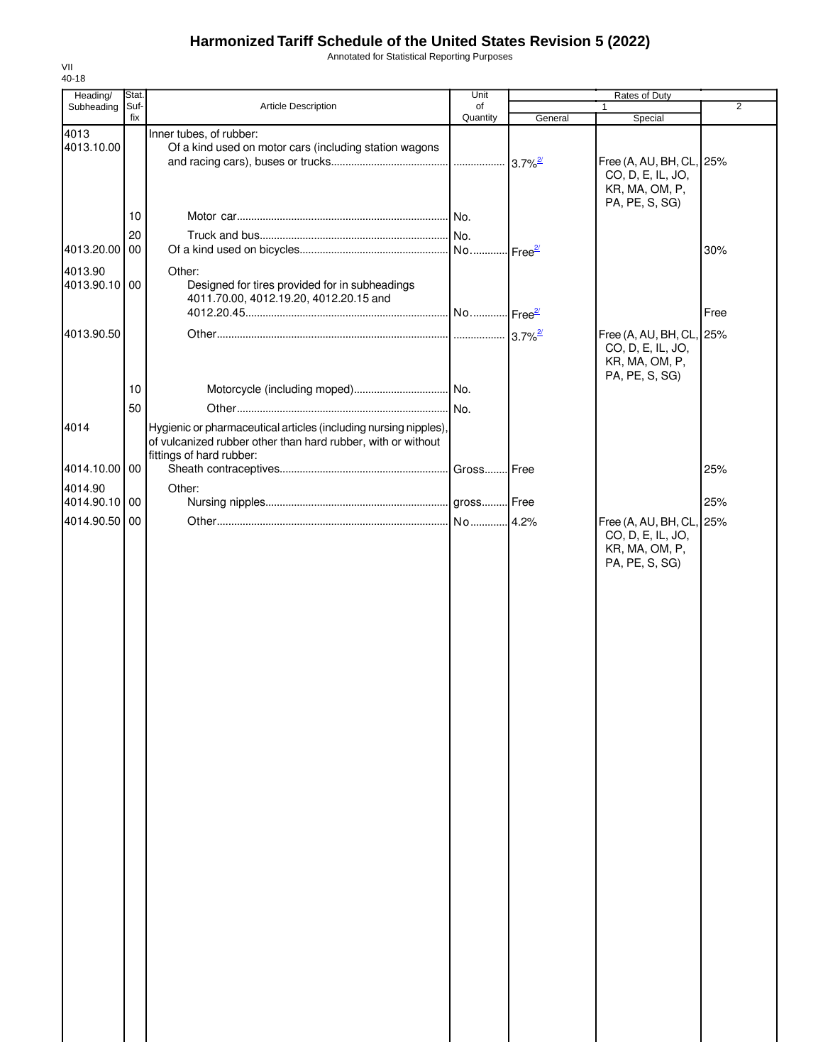Annotated for Statistical Reporting Purposes

| Heading/      | Stat.       |                                                                                                                                  | Unit           | Rates of Duty         |                                  |                |
|---------------|-------------|----------------------------------------------------------------------------------------------------------------------------------|----------------|-----------------------|----------------------------------|----------------|
| Subheading    | Suf-<br>fix | Article Description                                                                                                              | of<br>Quantity | General               | $\mathbf{1}$<br>Special          | $\overline{2}$ |
| 4013          |             | Inner tubes, of rubber:                                                                                                          |                |                       |                                  |                |
| 4013.10.00    |             | Of a kind used on motor cars (including station wagons                                                                           |                |                       |                                  |                |
|               |             |                                                                                                                                  |                | $3.7\%$ <sup>2/</sup> | Free (A, AU, BH, CL, 25%         |                |
|               |             |                                                                                                                                  |                |                       | CO, D, E, IL, JO,                |                |
|               |             |                                                                                                                                  |                |                       | KR, MA, OM, P,                   |                |
|               |             |                                                                                                                                  |                |                       | PA, PE, S, SG)                   |                |
|               | 10          |                                                                                                                                  |                |                       |                                  |                |
|               | 20          |                                                                                                                                  |                |                       |                                  |                |
| 4013.20.00 00 |             |                                                                                                                                  |                |                       |                                  | 30%            |
| 4013.90       |             | Other:                                                                                                                           |                |                       |                                  |                |
| 4013.90.10 00 |             | Designed for tires provided for in subheadings                                                                                   |                |                       |                                  |                |
|               |             | 4011.70.00, 4012.19.20, 4012.20.15 and                                                                                           |                |                       |                                  |                |
|               |             |                                                                                                                                  |                |                       |                                  | Free           |
| 4013.90.50    |             |                                                                                                                                  |                |                       | Free (A, AU, BH, CL, 25%         |                |
|               |             |                                                                                                                                  |                |                       | CO, D, E, IL, JO,                |                |
|               |             |                                                                                                                                  |                |                       | KR, MA, OM, P,                   |                |
|               |             |                                                                                                                                  |                |                       | PA, PE, S, SG)                   |                |
|               | 10          |                                                                                                                                  |                |                       |                                  |                |
|               | 50          |                                                                                                                                  |                |                       |                                  |                |
|               |             |                                                                                                                                  |                |                       |                                  |                |
| 4014          |             | Hygienic or pharmaceutical articles (including nursing nipples),<br>of vulcanized rubber other than hard rubber, with or without |                |                       |                                  |                |
|               |             | fittings of hard rubber:                                                                                                         |                |                       |                                  |                |
| 4014.10.00 00 |             |                                                                                                                                  | Gross Free     |                       |                                  | 25%            |
| 4014.90       |             | Other:                                                                                                                           |                |                       |                                  |                |
| 4014.90.10 00 |             |                                                                                                                                  |                |                       |                                  | 25%            |
|               |             |                                                                                                                                  |                |                       |                                  |                |
| 4014.90.50 00 |             |                                                                                                                                  |                |                       | Free (A, AU, BH, CL, 25%         |                |
|               |             |                                                                                                                                  |                |                       | CO, D, E, IL, JO,                |                |
|               |             |                                                                                                                                  |                |                       | KR, MA, OM, P,<br>PA, PE, S, SG) |                |
|               |             |                                                                                                                                  |                |                       |                                  |                |
|               |             |                                                                                                                                  |                |                       |                                  |                |
|               |             |                                                                                                                                  |                |                       |                                  |                |
|               |             |                                                                                                                                  |                |                       |                                  |                |
|               |             |                                                                                                                                  |                |                       |                                  |                |
|               |             |                                                                                                                                  |                |                       |                                  |                |
|               |             |                                                                                                                                  |                |                       |                                  |                |
|               |             |                                                                                                                                  |                |                       |                                  |                |
|               |             |                                                                                                                                  |                |                       |                                  |                |
|               |             |                                                                                                                                  |                |                       |                                  |                |
|               |             |                                                                                                                                  |                |                       |                                  |                |
|               |             |                                                                                                                                  |                |                       |                                  |                |
|               |             |                                                                                                                                  |                |                       |                                  |                |
|               |             |                                                                                                                                  |                |                       |                                  |                |
|               |             |                                                                                                                                  |                |                       |                                  |                |
|               |             |                                                                                                                                  |                |                       |                                  |                |
|               |             |                                                                                                                                  |                |                       |                                  |                |
|               |             |                                                                                                                                  |                |                       |                                  |                |
|               |             |                                                                                                                                  |                |                       |                                  |                |
|               |             |                                                                                                                                  |                |                       |                                  |                |
|               |             |                                                                                                                                  |                |                       |                                  |                |
|               |             |                                                                                                                                  |                |                       |                                  |                |
|               |             |                                                                                                                                  |                |                       |                                  |                |
|               |             |                                                                                                                                  |                |                       |                                  |                |
|               |             |                                                                                                                                  |                |                       |                                  |                |
|               |             |                                                                                                                                  |                |                       |                                  |                |
|               |             |                                                                                                                                  |                |                       |                                  |                |
|               |             |                                                                                                                                  |                |                       |                                  |                |
|               |             |                                                                                                                                  |                |                       |                                  |                |
|               |             |                                                                                                                                  |                |                       |                                  |                |
|               |             |                                                                                                                                  |                |                       |                                  |                |
|               |             |                                                                                                                                  |                |                       |                                  |                |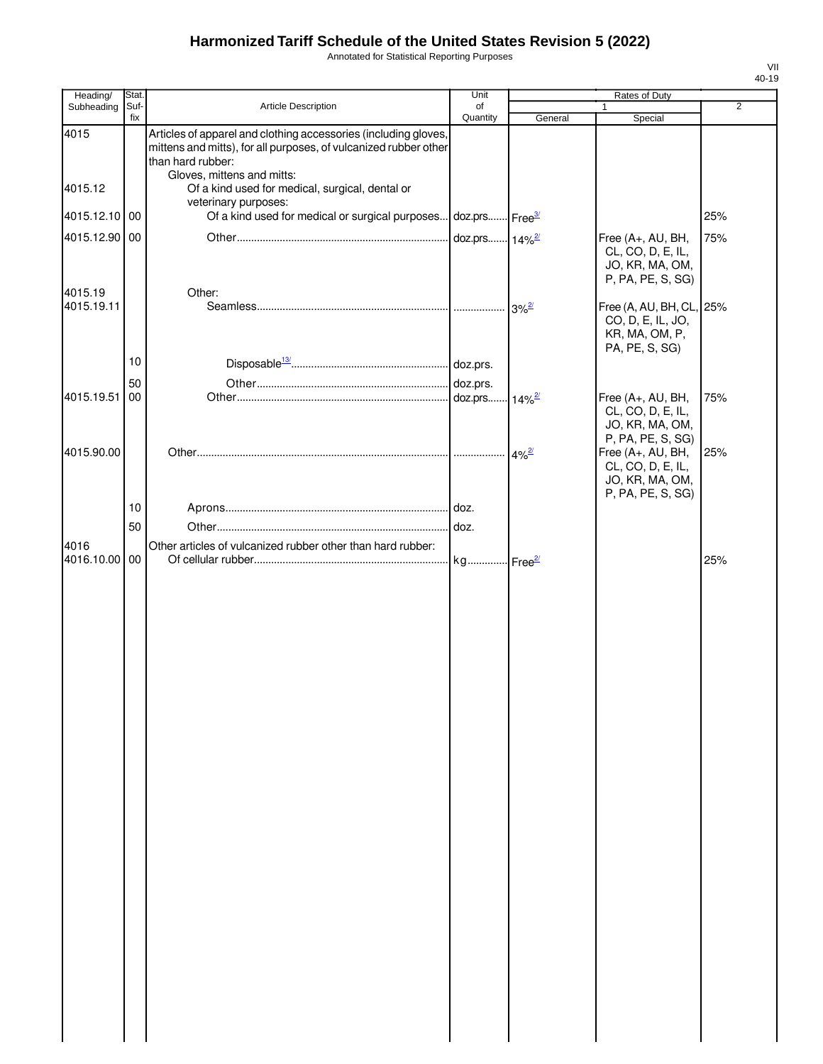Annotated for Statistical Reporting Purposes

| Heading/      | Stat.       |                                                                                                                                                                                        | Unit                       |                            | Rates of Duty                                                                     |                |
|---------------|-------------|----------------------------------------------------------------------------------------------------------------------------------------------------------------------------------------|----------------------------|----------------------------|-----------------------------------------------------------------------------------|----------------|
| Subheading    | Suf-<br>fix | <b>Article Description</b>                                                                                                                                                             | of<br>Quantity             | General                    | 1<br>Special                                                                      | $\overline{2}$ |
| 4015          |             | Articles of apparel and clothing accessories (including gloves,<br>mittens and mitts), for all purposes, of vulcanized rubber other<br>than hard rubber:<br>Gloves, mittens and mitts: |                            |                            |                                                                                   |                |
| 4015.12       |             | Of a kind used for medical, surgical, dental or                                                                                                                                        |                            |                            |                                                                                   |                |
| 4015.12.10 00 |             | veterinary purposes:<br>Of a kind used for medical or surgical purposes                                                                                                                | doz.prs Free <sup>3/</sup> |                            |                                                                                   | 25%            |
| 4015.12.90 00 |             |                                                                                                                                                                                        | doz.prs 14% <sup>2/</sup>  |                            | Free (A+, AU, BH,                                                                 | 75%            |
| 4015.19       |             | Other:                                                                                                                                                                                 |                            |                            | CL, CO, D, E, IL,<br>JO, KR, MA, OM,<br>P, PA, PE, S, SG)                         |                |
| 4015.19.11    |             |                                                                                                                                                                                        |                            | $3\%$ <sup>2/</sup>        | Free (A, AU, BH, CL, 25%<br>CO, D, E, IL, JO,<br>KR, MA, OM, P,<br>PA, PE, S, SG) |                |
|               | 10          |                                                                                                                                                                                        |                            |                            |                                                                                   |                |
|               | 50          |                                                                                                                                                                                        | doz.prs.                   |                            |                                                                                   |                |
| 4015.19.51 00 |             |                                                                                                                                                                                        | doz.prs                    | $\cdot$ 14% $\frac{27}{2}$ | Free (A+, AU, BH,<br>CL, CO, D, E, IL,<br>JO, KR, MA, OM,<br>P, PA, PE, S, SG)    | 75%            |
| 4015.90.00    |             |                                                                                                                                                                                        |                            | $4\%$ <sup>2/</sup>        | Free (A+, AU, BH,                                                                 | 25%            |
|               |             |                                                                                                                                                                                        |                            |                            | CL, CO, D, E, IL,<br>JO, KR, MA, OM,                                              |                |
|               | 10          |                                                                                                                                                                                        |                            |                            | P, PA, PE, S, SG)                                                                 |                |
|               | 50          |                                                                                                                                                                                        | doz.                       |                            |                                                                                   |                |
| 4016          |             | Other articles of vulcanized rubber other than hard rubber:                                                                                                                            |                            |                            |                                                                                   |                |
| 4016.10.00 00 |             |                                                                                                                                                                                        | kg Free <sup>2/</sup>      |                            |                                                                                   | 25%            |
|               |             |                                                                                                                                                                                        |                            |                            |                                                                                   |                |
|               |             |                                                                                                                                                                                        |                            |                            |                                                                                   |                |
|               |             |                                                                                                                                                                                        |                            |                            |                                                                                   |                |
|               |             |                                                                                                                                                                                        |                            |                            |                                                                                   |                |
|               |             |                                                                                                                                                                                        |                            |                            |                                                                                   |                |
|               |             |                                                                                                                                                                                        |                            |                            |                                                                                   |                |
|               |             |                                                                                                                                                                                        |                            |                            |                                                                                   |                |
|               |             |                                                                                                                                                                                        |                            |                            |                                                                                   |                |
|               |             |                                                                                                                                                                                        |                            |                            |                                                                                   |                |
|               |             |                                                                                                                                                                                        |                            |                            |                                                                                   |                |
|               |             |                                                                                                                                                                                        |                            |                            |                                                                                   |                |
|               |             |                                                                                                                                                                                        |                            |                            |                                                                                   |                |
|               |             |                                                                                                                                                                                        |                            |                            |                                                                                   |                |
|               |             |                                                                                                                                                                                        |                            |                            |                                                                                   |                |
|               |             |                                                                                                                                                                                        |                            |                            |                                                                                   |                |
|               |             |                                                                                                                                                                                        |                            |                            |                                                                                   |                |
|               |             |                                                                                                                                                                                        |                            |                            |                                                                                   |                |
|               |             |                                                                                                                                                                                        |                            |                            |                                                                                   |                |
|               |             |                                                                                                                                                                                        |                            |                            |                                                                                   |                |
|               |             |                                                                                                                                                                                        |                            |                            |                                                                                   |                |
|               |             |                                                                                                                                                                                        |                            |                            |                                                                                   |                |
|               |             |                                                                                                                                                                                        |                            |                            |                                                                                   |                |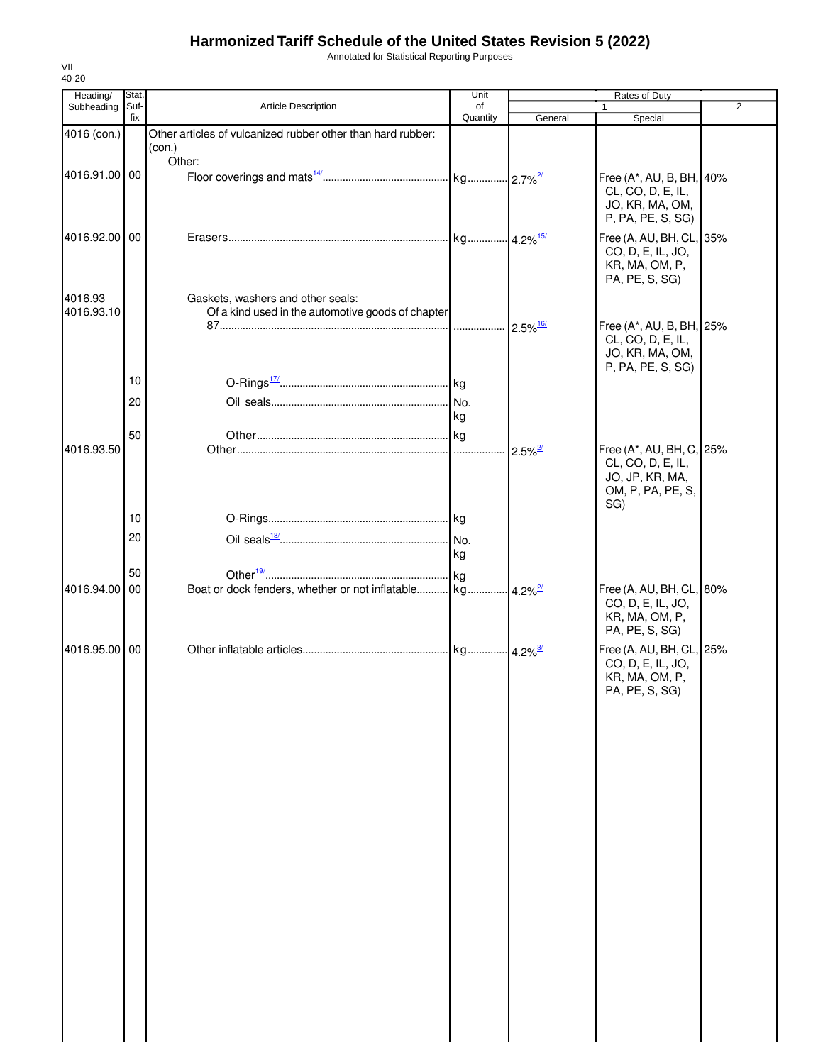Annotated for Statistical Reporting Purposes

| Heading/      | Stat.       |                                                             | Unit           |                        | Rates of Duty                                 |                |
|---------------|-------------|-------------------------------------------------------------|----------------|------------------------|-----------------------------------------------|----------------|
| Subheading    | Suf-<br>fix | Article Description                                         | οf<br>Quantity | General                | 1<br>Special                                  | $\overline{2}$ |
| 4016 (con.)   |             | Other articles of vulcanized rubber other than hard rubber: |                |                        |                                               |                |
|               |             | (con.)<br>Other:                                            |                |                        |                                               |                |
| 4016.91.00 00 |             |                                                             |                |                        | Free (A*, AU, B, BH, 40%                      |                |
|               |             |                                                             |                |                        | CL, CO, D, E, IL,                             |                |
|               |             |                                                             |                |                        | JO, KR, MA, OM,                               |                |
|               |             |                                                             |                |                        | P, PA, PE, S, SG)                             |                |
| 4016.92.00 00 |             |                                                             |                |                        | Free (A, AU, BH, CL, 35%<br>CO, D, E, IL, JO, |                |
|               |             |                                                             |                |                        | KR, MA, OM, P,                                |                |
|               |             |                                                             |                |                        | PA, PE, S, SG)                                |                |
| 4016.93       |             | Gaskets, washers and other seals:                           |                |                        |                                               |                |
| 4016.93.10    |             | Of a kind used in the automotive goods of chapter           |                | $2.5\%$ <sup>16/</sup> | Free (A*, AU, B, BH, 25%                      |                |
|               |             |                                                             |                |                        | CL, CO, D, E, IL,                             |                |
|               |             |                                                             |                |                        | JO, KR, MA, OM,                               |                |
|               | 10          |                                                             |                |                        | P, PA, PE, S, SG)                             |                |
|               |             |                                                             |                |                        |                                               |                |
|               | 20          |                                                             | kg             |                        |                                               |                |
|               | 50          |                                                             |                |                        |                                               |                |
| 4016.93.50    |             |                                                             |                | $2.5\%$ <sup>2/</sup>  | Free (A*, AU, BH, C, 25%                      |                |
|               |             |                                                             |                |                        | CL, CO, D, E, IL,                             |                |
|               |             |                                                             |                |                        | JO, JP, KR, MA,<br>OM, P, PA, PE, S,          |                |
|               |             |                                                             |                |                        | SG)                                           |                |
|               | 10          |                                                             |                |                        |                                               |                |
|               | 20          |                                                             |                |                        |                                               |                |
|               |             |                                                             | kg             |                        |                                               |                |
|               | 50          |                                                             |                |                        |                                               |                |
| 4016.94.00 00 |             |                                                             |                |                        | Free (A, AU, BH, CL, 80%<br>CO, D, E, IL, JO, |                |
|               |             |                                                             |                |                        | KR, MA, OM, P,                                |                |
|               |             |                                                             |                |                        | PA, PE, S, SG)                                |                |
| 4016.95.00 00 |             |                                                             |                |                        | Free (A, AU, BH, CL, 25%                      |                |
|               |             |                                                             |                |                        | CO, D, E, IL, JO,<br>KR, MA, OM, P,           |                |
|               |             |                                                             |                |                        | PA, PE, S, SG)                                |                |
|               |             |                                                             |                |                        |                                               |                |
|               |             |                                                             |                |                        |                                               |                |
|               |             |                                                             |                |                        |                                               |                |
|               |             |                                                             |                |                        |                                               |                |
|               |             |                                                             |                |                        |                                               |                |
|               |             |                                                             |                |                        |                                               |                |
|               |             |                                                             |                |                        |                                               |                |
|               |             |                                                             |                |                        |                                               |                |
|               |             |                                                             |                |                        |                                               |                |
|               |             |                                                             |                |                        |                                               |                |
|               |             |                                                             |                |                        |                                               |                |
|               |             |                                                             |                |                        |                                               |                |
|               |             |                                                             |                |                        |                                               |                |
|               |             |                                                             |                |                        |                                               |                |
|               |             |                                                             |                |                        |                                               |                |
|               |             |                                                             |                |                        |                                               |                |
|               |             |                                                             |                |                        |                                               |                |
|               |             |                                                             |                |                        |                                               |                |
|               |             |                                                             |                |                        |                                               |                |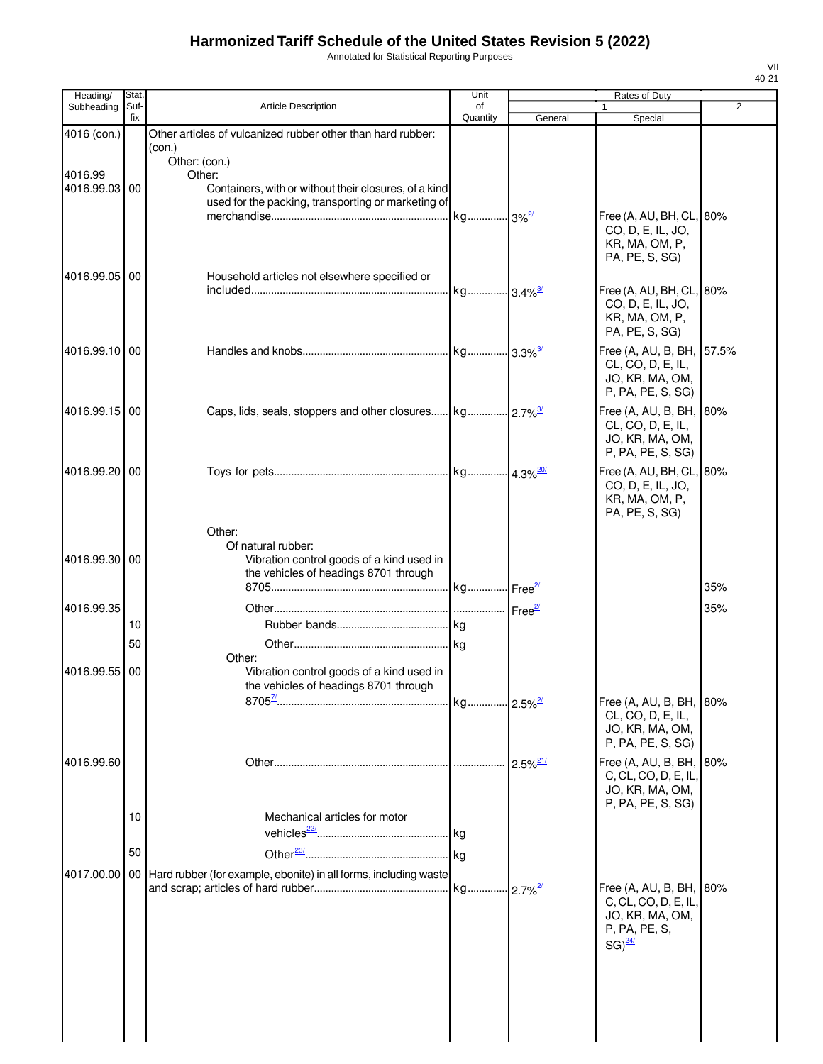Annotated for Statistical Reporting Purposes

| Heading/              | Stat.       |                                                                                                                                        | Unit           |         | Rates of Duty                                                                                   |     |
|-----------------------|-------------|----------------------------------------------------------------------------------------------------------------------------------------|----------------|---------|-------------------------------------------------------------------------------------------------|-----|
| Subheading            | Suf-<br>fix | <b>Article Description</b>                                                                                                             | of<br>Quantity | General | 1<br>Special                                                                                    | 2   |
| 4016 (con.)           |             | Other articles of vulcanized rubber other than hard rubber:<br>(con.)                                                                  |                |         |                                                                                                 |     |
| 4016.99<br>4016.99.03 | 00          | Other: (con.)<br>Other:<br>Containers, with or without their closures, of a kind<br>used for the packing, transporting or marketing of |                |         |                                                                                                 |     |
|                       |             |                                                                                                                                        |                |         | Free (A, AU, BH, CL, 80%<br>CO, D, E, IL, JO,<br>KR, MA, OM, P,<br>PA, PE, S, SG)               |     |
| 4016.99.05            | 00          | Household articles not elsewhere specified or                                                                                          |                |         | Free (A, AU, BH, CL, 80%<br>CO, D, E, IL, JO,<br>KR, MA, OM, P,<br>PA, PE, S, SG)               |     |
| 4016.99.10 00         |             |                                                                                                                                        |                |         | Free (A, AU, B, BH, 57.5%<br>CL, CO, D, E, IL,<br>JO, KR, MA, OM,<br>P, PA, PE, S, SG)          |     |
| 4016.99.15 00         |             |                                                                                                                                        |                |         | Free (A, AU, B, BH, 80%<br>CL, CO, D, E, IL,<br>JO, KR, MA, OM,<br>P, PA, PE, S, SG)            |     |
| 4016.99.20 00         |             |                                                                                                                                        |                |         | Free (A, AU, BH, CL, 80%<br>CO, D, E, IL, JO,<br>KR, MA, OM, P,<br>PA, PE, S, SG)               |     |
| 4016.99.30            | 00          | Other:<br>Of natural rubber:<br>Vibration control goods of a kind used in<br>the vehicles of headings 8701 through                     |                |         |                                                                                                 | 35% |
|                       |             |                                                                                                                                        |                |         |                                                                                                 |     |
| 4016.99.35            | 10          |                                                                                                                                        |                |         |                                                                                                 | 35% |
|                       | 50          |                                                                                                                                        |                |         |                                                                                                 |     |
| 4016.99.55            | 00          | Other:<br>Vibration control goods of a kind used in<br>the vehicles of headings 8701 through                                           |                |         |                                                                                                 |     |
|                       |             |                                                                                                                                        |                |         | Free (A, AU, B, BH, 80%<br>CL, CO, D, E, IL,<br>JO, KR, MA, OM,<br>P, PA, PE, S, SG)            |     |
| 4016.99.60            |             |                                                                                                                                        |                |         | Free (A, AU, B, BH, 80%<br>C, CL, CO, D, E, IL,<br>JO, KR, MA, OM,<br>P, PA, PE, S, SG)         |     |
|                       | 10          | Mechanical articles for motor                                                                                                          |                |         |                                                                                                 |     |
|                       | 50          |                                                                                                                                        |                |         |                                                                                                 |     |
| 4017.00.00            |             | 00 Hard rubber (for example, ebonite) in all forms, including waste                                                                    |                |         | Free (A, AU, B, BH,<br>C, CL, CO, D, E, IL,<br>JO, KR, MA, OM,<br>P, PA, PE, S,<br>$SG)^{24/2}$ | 80% |
|                       |             |                                                                                                                                        |                |         |                                                                                                 |     |